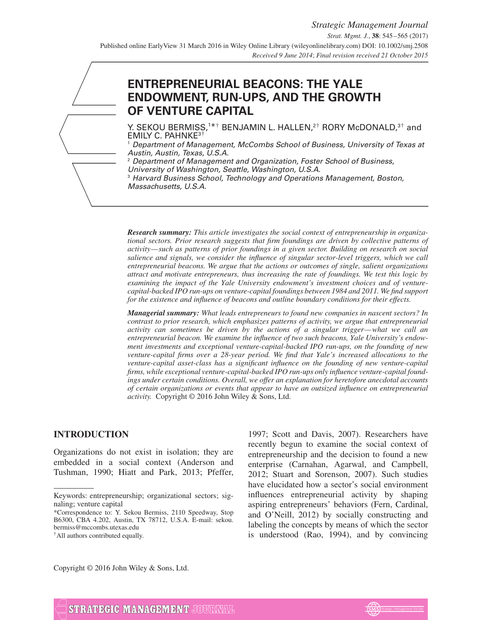# **ENTREPRENEURIAL BEACONS: THE YALE ENDOWMENT, RUN-UPS, AND THE GROWTH OF VENTURE CAPITAL**

Y. SEKOU BERMISS, $1**$  BENJAMIN L. HALLEN, $2^{\dagger}$  RORY McDONALD, $3^{\dagger}$  and EMILY C. PAHNKE3†

<sup>1</sup> Department of Management, McCombs School of Business, University of Texas at Austin, Austin, Texas, U.S.A.

<sup>2</sup> Department of Management and Organization, Foster School of Business, University of Washington, Seattle, Washington, U.S.A.

<sup>3</sup> Harvard Business School, Technology and Operations Management, Boston, Massachusetts, U.S.A.

*Research summary: This article investigates the social context of entrepreneurship in organizational sectors. Prior research suggests that firm foundings are driven by collective patterns of activity—such as patterns of prior foundings in a given sector. Building on research on social salience and signals, we consider the influence of singular sector-level triggers, which we call entrepreneurial beacons. We argue that the actions or outcomes of single, salient organizations attract and motivate entrepreneurs, thus increasing the rate of foundings. We test this logic by examining the impact of the Yale University endowment's investment choices and of venturecapital-backed IPO run-ups on venture-capital foundings between 1984 and 2011. We find support for the existence and influence of beacons and outline boundary conditions for their effects.*

*Managerial summary: What leads entrepreneurs to found new companies in nascent sectors? In contrast to prior research, which emphasizes patterns of activity, we argue that entrepreneurial activity can sometimes be driven by the actions of a singular trigger—what we call an entrepreneurial beacon. We examine the influence of two such beacons, Yale University's endowment investments and exceptional venture-capital-backed IPO run-ups, on the founding of new venture-capital firms over a 28-year period. We find that Yale's increased allocations to the venture-capital asset-class has a significant influence on the founding of new venture-capital firms, while exceptional venture-capital-backed IPO run-ups only influence venture-capital foundings under certain conditions. Overall, we offer an explanation for heretofore anecdotal accounts of certain organizations or events that appear to have an outsized influence on entrepreneurial activity.* Copyright © 2016 John Wiley & Sons, Ltd.

#### **INTRODUCTION**

Organizations do not exist in isolation; they are embedded in a social context (Anderson and Tushman, 1990; Hiatt and Park, 2013; Pfeffer,

†All authors contributed equally.

1997; Scott and Davis, 2007). Researchers have recently begun to examine the social context of entrepreneurship and the decision to found a new enterprise (Carnahan, Agarwal, and Campbell, 2012; Stuart and Sorenson, 2007). Such studies have elucidated how a sector's social environment influences entrepreneurial activity by shaping aspiring entrepreneurs' behaviors (Fern, Cardinal, and O'Neill, 2012) by socially constructing and labeling the concepts by means of which the sector is understood (Rao, 1994), and by convincing

Copyright © 2016 John Wiley & Sons, Ltd.



Keywords: entrepreneurship; organizational sectors; signaling; venture capital

<sup>\*</sup>Correspondence to: Y. Sekou Bermiss, 2110 Speedway, Stop B6300, CBA 4.202, Austin, TX 78712, U.S.A. E-mail: sekou. bermiss@mccombs.utexas.edu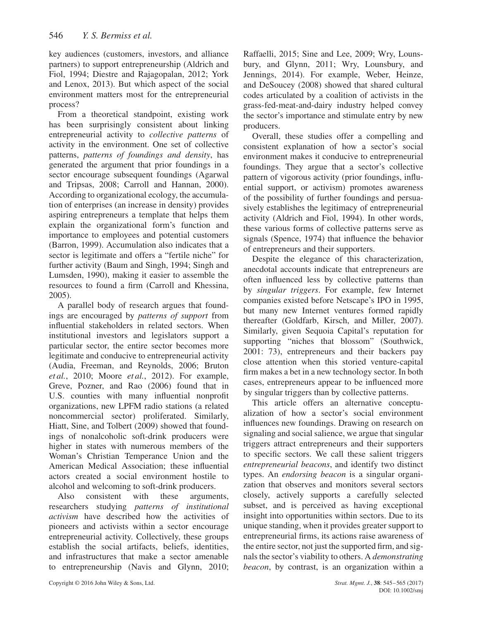key audiences (customers, investors, and alliance partners) to support entrepreneurship (Aldrich and Fiol, 1994; Diestre and Rajagopalan, 2012; York and Lenox, 2013). But which aspect of the social environment matters most for the entrepreneurial process?

From a theoretical standpoint, existing work has been surprisingly consistent about linking entrepreneurial activity to *collective patterns* of activity in the environment. One set of collective patterns, *patterns of foundings and density*, has generated the argument that prior foundings in a sector encourage subsequent foundings (Agarwal and Tripsas, 2008; Carroll and Hannan, 2000). According to organizational ecology, the accumulation of enterprises (an increase in density) provides aspiring entrepreneurs a template that helps them explain the organizational form's function and importance to employees and potential customers (Barron, 1999). Accumulation also indicates that a sector is legitimate and offers a "fertile niche" for further activity (Baum and Singh, 1994; Singh and Lumsden, 1990), making it easier to assemble the resources to found a firm (Carroll and Khessina, 2005).

A parallel body of research argues that foundings are encouraged by *patterns of support* from influential stakeholders in related sectors. When institutional investors and legislators support a particular sector, the entire sector becomes more legitimate and conducive to entrepreneurial activity (Audia, Freeman, and Reynolds, 2006; Bruton *et al.*, 2010; Moore *et al.*, 2012). For example, Greve, Pozner, and Rao (2006) found that in U.S. counties with many influential nonprofit organizations, new LPFM radio stations (a related noncommercial sector) proliferated. Similarly, Hiatt, Sine, and Tolbert (2009) showed that foundings of nonalcoholic soft-drink producers were higher in states with numerous members of the Woman's Christian Temperance Union and the American Medical Association; these influential actors created a social environment hostile to alcohol and welcoming to soft-drink producers.

Also consistent with these arguments, researchers studying *patterns of institutional activism* have described how the activities of pioneers and activists within a sector encourage entrepreneurial activity. Collectively, these groups establish the social artifacts, beliefs, identities, and infrastructures that make a sector amenable to entrepreneurship (Navis and Glynn, 2010; Raffaelli, 2015; Sine and Lee, 2009; Wry, Lounsbury, and Glynn, 2011; Wry, Lounsbury, and Jennings, 2014). For example, Weber, Heinze, and DeSoucey (2008) showed that shared cultural codes articulated by a coalition of activists in the grass-fed-meat-and-dairy industry helped convey the sector's importance and stimulate entry by new producers.

Overall, these studies offer a compelling and consistent explanation of how a sector's social environment makes it conducive to entrepreneurial foundings. They argue that a sector's collective pattern of vigorous activity (prior foundings, influential support, or activism) promotes awareness of the possibility of further foundings and persuasively establishes the legitimacy of entrepreneurial activity (Aldrich and Fiol, 1994). In other words, these various forms of collective patterns serve as signals (Spence, 1974) that influence the behavior of entrepreneurs and their supporters.

Despite the elegance of this characterization, anecdotal accounts indicate that entrepreneurs are often influenced less by collective patterns than by *singular triggers*. For example, few Internet companies existed before Netscape's IPO in 1995, but many new Internet ventures formed rapidly thereafter (Goldfarb, Kirsch, and Miller, 2007). Similarly, given Sequoia Capital's reputation for supporting "niches that blossom" (Southwick, 2001: 73), entrepreneurs and their backers pay close attention when this storied venture-capital firm makes a bet in a new technology sector. In both cases, entrepreneurs appear to be influenced more by singular triggers than by collective patterns.

This article offers an alternative conceptualization of how a sector's social environment influences new foundings. Drawing on research on signaling and social salience, we argue that singular triggers attract entrepreneurs and their supporters to specific sectors. We call these salient triggers *entrepreneurial beacons*, and identify two distinct types. An *endorsing beacon* is a singular organization that observes and monitors several sectors closely, actively supports a carefully selected subset, and is perceived as having exceptional insight into opportunities within sectors. Due to its unique standing, when it provides greater support to entrepreneurial firms, its actions raise awareness of the entire sector, not just the supported firm, and signals the sector's viability to others. A *demonstrating beacon*, by contrast, is an organization within a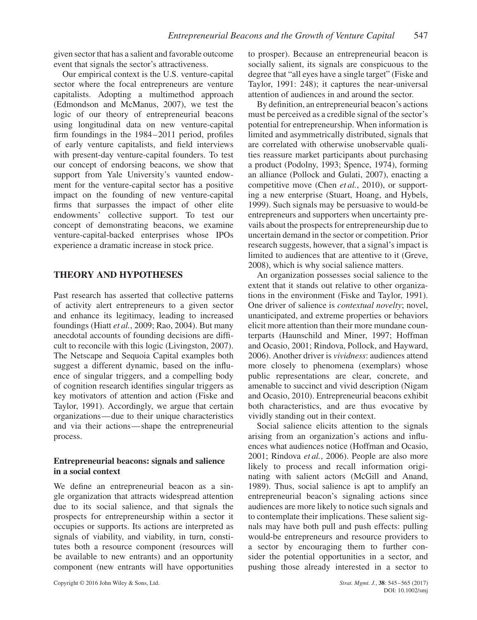given sector that has a salient and favorable outcome event that signals the sector's attractiveness.

Our empirical context is the U.S. venture-capital sector where the focal entrepreneurs are venture capitalists. Adopting a multimethod approach (Edmondson and McManus, 2007), we test the logic of our theory of entrepreneurial beacons using longitudinal data on new venture-capital firm foundings in the 1984–2011 period, profiles of early venture capitalists, and field interviews with present-day venture-capital founders. To test our concept of endorsing beacons, we show that support from Yale University's vaunted endowment for the venture-capital sector has a positive impact on the founding of new venture-capital firms that surpasses the impact of other elite endowments' collective support. To test our concept of demonstrating beacons, we examine venture-capital-backed enterprises whose IPOs experience a dramatic increase in stock price.

# **THEORY AND HYPOTHESES**

Past research has asserted that collective patterns of activity alert entrepreneurs to a given sector and enhance its legitimacy, leading to increased foundings (Hiatt *et al.*, 2009; Rao, 2004). But many anecdotal accounts of founding decisions are difficult to reconcile with this logic (Livingston, 2007). The Netscape and Sequoia Capital examples both suggest a different dynamic, based on the influence of singular triggers, and a compelling body of cognition research identifies singular triggers as key motivators of attention and action (Fiske and Taylor, 1991). Accordingly, we argue that certain organizations—due to their unique characteristics and via their actions—shape the entrepreneurial process.

# **Entrepreneurial beacons: signals and salience in a social context**

We define an entrepreneurial beacon as a single organization that attracts widespread attention due to its social salience, and that signals the prospects for entrepreneurship within a sector it occupies or supports. Its actions are interpreted as signals of viability, and viability, in turn, constitutes both a resource component (resources will be available to new entrants) and an opportunity component (new entrants will have opportunities to prosper). Because an entrepreneurial beacon is socially salient, its signals are conspicuous to the degree that "all eyes have a single target" (Fiske and Taylor, 1991: 248); it captures the near-universal attention of audiences in and around the sector.

By definition, an entrepreneurial beacon's actions must be perceived as a credible signal of the sector's potential for entrepreneurship. When information is limited and asymmetrically distributed, signals that are correlated with otherwise unobservable qualities reassure market participants about purchasing a product (Podolny, 1993; Spence, 1974), forming an alliance (Pollock and Gulati, 2007), enacting a competitive move (Chen *et al.*, 2010), or supporting a new enterprise (Stuart, Hoang, and Hybels, 1999). Such signals may be persuasive to would-be entrepreneurs and supporters when uncertainty prevails about the prospects for entrepreneurship due to uncertain demand in the sector or competition. Prior research suggests, however, that a signal's impact is limited to audiences that are attentive to it (Greve, 2008), which is why social salience matters.

An organization possesses social salience to the extent that it stands out relative to other organizations in the environment (Fiske and Taylor, 1991). One driver of salience is *contextual novelty*; novel, unanticipated, and extreme properties or behaviors elicit more attention than their more mundane counterparts (Haunschild and Miner, 1997; Hoffman and Ocasio, 2001; Rindova, Pollock, and Hayward, 2006). Another driver is *vividness*: audiences attend more closely to phenomena (exemplars) whose public representations are clear, concrete, and amenable to succinct and vivid description (Nigam and Ocasio, 2010). Entrepreneurial beacons exhibit both characteristics, and are thus evocative by vividly standing out in their context.

Social salience elicits attention to the signals arising from an organization's actions and influences what audiences notice (Hoffman and Ocasio, 2001; Rindova *et al.*, 2006). People are also more likely to process and recall information originating with salient actors (McGill and Anand, 1989). Thus, social salience is apt to amplify an entrepreneurial beacon's signaling actions since audiences are more likely to notice such signals and to contemplate their implications. These salient signals may have both pull and push effects: pulling would-be entrepreneurs and resource providers to a sector by encouraging them to further consider the potential opportunities in a sector, and pushing those already interested in a sector to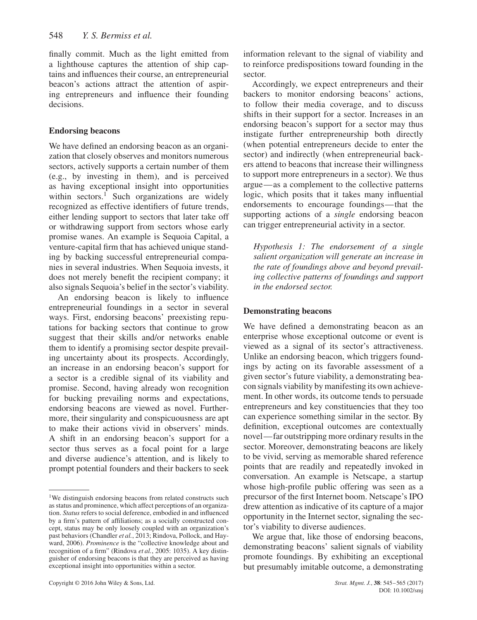finally commit. Much as the light emitted from a lighthouse captures the attention of ship captains and influences their course, an entrepreneurial beacon's actions attract the attention of aspiring entrepreneurs and influence their founding decisions.

#### **Endorsing beacons**

We have defined an endorsing beacon as an organization that closely observes and monitors numerous sectors, actively supports a certain number of them (e.g., by investing in them), and is perceived as having exceptional insight into opportunities within sectors.<sup>[1](#page-3-0)</sup> Such organizations are widely recognized as effective identifiers of future trends, either lending support to sectors that later take off or withdrawing support from sectors whose early promise wanes. An example is Sequoia Capital, a venture-capital firm that has achieved unique standing by backing successful entrepreneurial companies in several industries. When Sequoia invests, it does not merely benefit the recipient company; it also signals Sequoia's belief in the sector's viability.

An endorsing beacon is likely to influence entrepreneurial foundings in a sector in several ways. First, endorsing beacons' preexisting reputations for backing sectors that continue to grow suggest that their skills and/or networks enable them to identify a promising sector despite prevailing uncertainty about its prospects. Accordingly, an increase in an endorsing beacon's support for a sector is a credible signal of its viability and promise. Second, having already won recognition for bucking prevailing norms and expectations, endorsing beacons are viewed as novel. Furthermore, their singularity and conspicuousness are apt to make their actions vivid in observers' minds. A shift in an endorsing beacon's support for a sector thus serves as a focal point for a large and diverse audience's attention, and is likely to prompt potential founders and their backers to seek

information relevant to the signal of viability and to reinforce predispositions toward founding in the sector.

Accordingly, we expect entrepreneurs and their backers to monitor endorsing beacons' actions, to follow their media coverage, and to discuss shifts in their support for a sector. Increases in an endorsing beacon's support for a sector may thus instigate further entrepreneurship both directly (when potential entrepreneurs decide to enter the sector) and indirectly (when entrepreneurial backers attend to beacons that increase their willingness to support more entrepreneurs in a sector). We thus argue—as a complement to the collective patterns logic, which posits that it takes many influential endorsements to encourage foundings—that the supporting actions of a *single* endorsing beacon can trigger entrepreneurial activity in a sector.

*Hypothesis 1: The endorsement of a single salient organization will generate an increase in the rate of foundings above and beyond prevailing collective patterns of foundings and support in the endorsed sector.*

#### **Demonstrating beacons**

We have defined a demonstrating beacon as an enterprise whose exceptional outcome or event is viewed as a signal of its sector's attractiveness. Unlike an endorsing beacon, which triggers foundings by acting on its favorable assessment of a given sector's future viability, a demonstrating beacon signals viability by manifesting its own achievement. In other words, its outcome tends to persuade entrepreneurs and key constituencies that they too can experience something similar in the sector. By definition, exceptional outcomes are contextually novel— far outstripping more ordinary results in the sector. Moreover, demonstrating beacons are likely to be vivid, serving as memorable shared reference points that are readily and repeatedly invoked in conversation. An example is Netscape, a startup whose high-profile public offering was seen as a precursor of the first Internet boom. Netscape's IPO drew attention as indicative of its capture of a major opportunity in the Internet sector, signaling the sector's viability to diverse audiences.

We argue that, like those of endorsing beacons, demonstrating beacons' salient signals of viability promote foundings. By exhibiting an exceptional but presumably imitable outcome, a demonstrating

<span id="page-3-0"></span><sup>&</sup>lt;sup>1</sup>We distinguish endorsing beacons from related constructs such as status and prominence, which affect perceptions of an organization. *Status* refers to social deference, embodied in and influenced by a firm's pattern of affiliations; as a socially constructed concept, status may be only loosely coupled with an organization's past behaviors (Chandler *et al.*, 2013; Rindova, Pollock, and Hayward, 2006). *Prominence* is the "collective knowledge about and recognition of a firm" (Rindova *et al.*, 2005: 1035). A key distinguisher of endorsing beacons is that they are perceived as having exceptional insight into opportunities within a sector.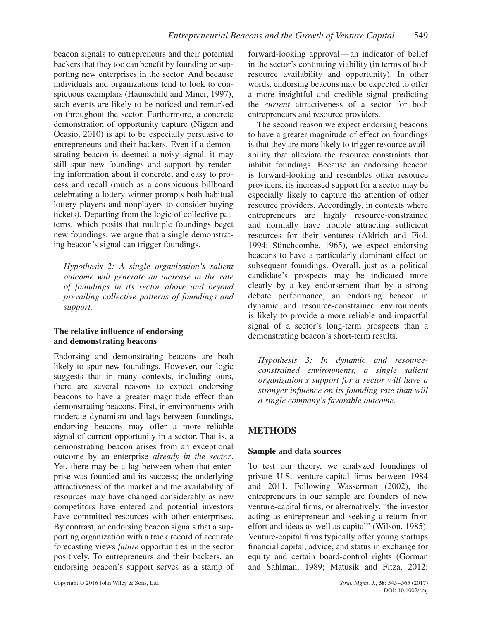beacon signals to entrepreneurs and their potential backers that they too can benefit by founding or supporting new enterprises in the sector. And because individuals and organizations tend to look to conspicuous exemplars (Haunschild and Miner, 1997), such events are likely to be noticed and remarked on throughout the sector. Furthermore, a concrete demonstration of opportunity capture (Nigam and Ocasio, 2010) is apt to be especially persuasive to entrepreneurs and their backers. Even if a demonstrating beacon is deemed a noisy signal, it may still spur new foundings and support by rendering information about it concrete, and easy to process and recall (much as a conspicuous billboard celebrating a lottery winner prompts both habitual lottery players and nonplayers to consider buying tickets). Departing from the logic of collective patterns, which posits that multiple foundings beget new foundings, we argue that a single demonstrating beacon's signal can trigger foundings.

*Hypothesis 2: A single organization's salient outcome will generate an increase in the rate of foundings in its sector above and beyond prevailing collective patterns of foundings and support.*

# **The relative influence of endorsing and demonstrating beacons**

Endorsing and demonstrating beacons are both likely to spur new foundings. However, our logic suggests that in many contexts, including ours, there are several reasons to expect endorsing beacons to have a greater magnitude effect than demonstrating beacons. First, in environments with moderate dynamism and lags between foundings, endorsing beacons may offer a more reliable signal of current opportunity in a sector. That is, a demonstrating beacon arises from an exceptional outcome by an enterprise *already in the sector*. Yet, there may be a lag between when that enterprise was founded and its success; the underlying attractiveness of the market and the availability of resources may have changed considerably as new competitors have entered and potential investors have committed resources with other enterprises. By contrast, an endorsing beacon signals that a supporting organization with a track record of accurate forecasting views *future* opportunities in the sector positively. To entrepreneurs and their backers, an endorsing beacon's support serves as a stamp of forward-looking approval—an indicator of belief in the sector's continuing viability (in terms of both resource availability and opportunity). In other words, endorsing beacons may be expected to offer a more insightful and credible signal predicting the *current* attractiveness of a sector for both entrepreneurs and resource providers.

The second reason we expect endorsing beacons to have a greater magnitude of effect on foundings is that they are more likely to trigger resource availability that alleviate the resource constraints that inhibit foundings. Because an endorsing beacon is forward-looking and resembles other resource providers, its increased support for a sector may be especially likely to capture the attention of other resource providers. Accordingly, in contexts where entrepreneurs are highly resource-constrained and normally have trouble attracting sufficient resources for their ventures (Aldrich and Fiol, 1994; Stinchcombe, 1965), we expect endorsing beacons to have a particularly dominant effect on subsequent foundings. Overall, just as a political candidate's prospects may be indicated more clearly by a key endorsement than by a strong debate performance, an endorsing beacon in dynamic and resource-constrained environments is likely to provide a more reliable and impactful signal of a sector's long-term prospects than a demonstrating beacon's short-term results.

*Hypothesis 3: In dynamic and resourceconstrained environments, a single salient organization's support for a sector will have a stronger influence on its founding rate than will a single company's favorable outcome.*

# **METHODS**

# **Sample and data sources**

To test our theory, we analyzed foundings of private U.S. venture-capital firms between 1984 and 2011. Following Wasserman (2002), the entrepreneurs in our sample are founders of new venture-capital firms, or alternatively, "the investor acting as entrepreneur and seeking a return from effort and ideas as well as capital" (Wilson, 1985). Venture-capital firms typically offer young startups financial capital, advice, and status in exchange for equity and certain board-control rights (Gorman and Sahlman, 1989; Matusik and Fitza, 2012;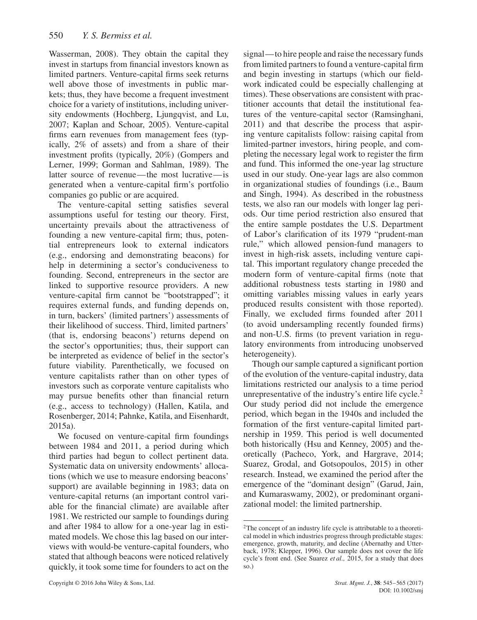Wasserman, 2008). They obtain the capital they invest in startups from financial investors known as limited partners. Venture-capital firms seek returns well above those of investments in public markets; thus, they have become a frequent investment choice for a variety of institutions, including university endowments (Hochberg, Ljungqvist, and Lu, 2007; Kaplan and Schoar, 2005). Venture-capital firms earn revenues from management fees (typically, 2% of assets) and from a share of their investment profits (typically, 20%) (Gompers and Lerner, 1999; Gorman and Sahlman, 1989). The latter source of revenue—the most lucrative—is generated when a venture-capital firm's portfolio companies go public or are acquired.

The venture-capital setting satisfies several assumptions useful for testing our theory. First, uncertainty prevails about the attractiveness of founding a new venture-capital firm; thus, potential entrepreneurs look to external indicators (e.g., endorsing and demonstrating beacons) for help in determining a sector's conduciveness to founding. Second, entrepreneurs in the sector are linked to supportive resource providers. A new venture-capital firm cannot be "bootstrapped"; it requires external funds, and funding depends on, in turn, backers' (limited partners') assessments of their likelihood of success. Third, limited partners' (that is, endorsing beacons') returns depend on the sector's opportunities; thus, their support can be interpreted as evidence of belief in the sector's future viability. Parenthetically, we focused on venture capitalists rather than on other types of investors such as corporate venture capitalists who may pursue benefits other than financial return (e.g., access to technology) (Hallen, Katila, and Rosenberger, 2014; Pahnke, Katila, and Eisenhardt, 2015a).

We focused on venture-capital firm foundings between 1984 and 2011, a period during which third parties had begun to collect pertinent data. Systematic data on university endowments' allocations (which we use to measure endorsing beacons' support) are available beginning in 1983; data on venture-capital returns (an important control variable for the financial climate) are available after 1981. We restricted our sample to foundings during and after 1984 to allow for a one-year lag in estimated models. We chose this lag based on our interviews with would-be venture-capital founders, who stated that although beacons were noticed relatively quickly, it took some time for founders to act on the

signal—to hire people and raise the necessary funds from limited partners to found a venture-capital firm and begin investing in startups (which our fieldwork indicated could be especially challenging at times). These observations are consistent with practitioner accounts that detail the institutional features of the venture-capital sector (Ramsinghani, 2011) and that describe the process that aspiring venture capitalists follow: raising capital from limited-partner investors, hiring people, and completing the necessary legal work to register the firm and fund. This informed the one-year lag structure used in our study. One-year lags are also common in organizational studies of foundings (i.e., Baum and Singh, 1994). As described in the robustness tests, we also ran our models with longer lag periods. Our time period restriction also ensured that the entire sample postdates the U.S. Department of Labor's clarification of its 1979 "prudent-man rule," which allowed pension-fund managers to invest in high-risk assets, including venture capital. This important regulatory change preceded the modern form of venture-capital firms (note that additional robustness tests starting in 1980 and omitting variables missing values in early years produced results consistent with those reported). Finally, we excluded firms founded after 2011 (to avoid undersampling recently founded firms) and non-U.S. firms (to prevent variation in regulatory environments from introducing unobserved heterogeneity).

Though our sample captured a significant portion of the evolution of the venture-capital industry, data limitations restricted our analysis to a time period unrepresentative of the industry's entire life cycle. $2$ Our study period did not include the emergence period, which began in the 1940s and included the formation of the first venture-capital limited partnership in 1959. This period is well documented both historically (Hsu and Kenney, 2005) and theoretically (Pacheco, York, and Hargrave, 2014; Suarez, Grodal, and Gotsopoulos, 2015) in other research. Instead, we examined the period after the emergence of the "dominant design" (Garud, Jain, and Kumaraswamy, 2002), or predominant organizational model: the limited partnership.

<span id="page-5-0"></span><sup>&</sup>lt;sup>2</sup>The concept of an industry life cycle is attributable to a theoretical model in which industries progress through predictable stages: emergence, growth, maturity, and decline (Abernathy and Utterback, 1978; Klepper, 1996). Our sample does not cover the life cycle's front end. (See Suarez *et al.,* 2015, for a study that does so.)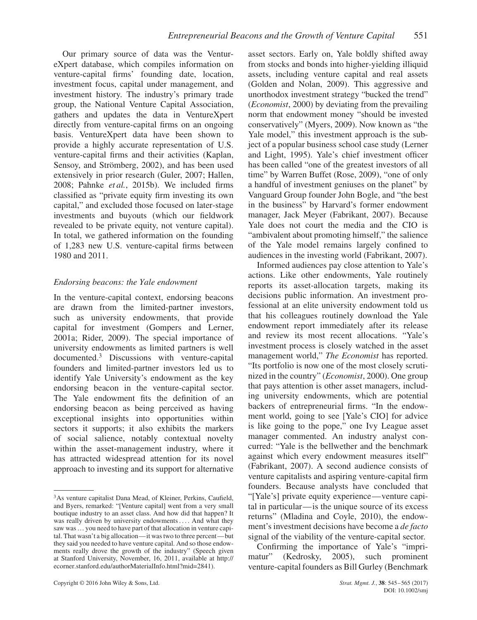Our primary source of data was the VentureXpert database, which compiles information on venture-capital firms' founding date, location, investment focus, capital under management, and investment history. The industry's primary trade group, the National Venture Capital Association, gathers and updates the data in VentureXpert directly from venture-capital firms on an ongoing basis. VentureXpert data have been shown to provide a highly accurate representation of U.S. venture-capital firms and their activities (Kaplan, Sensoy, and Strömberg, 2002), and has been used extensively in prior research (Guler, 2007; Hallen, 2008; Pahnke *et al.*, 2015b). We included firms classified as "private equity firm investing its own capital," and excluded those focused on later-stage investments and buyouts (which our fieldwork revealed to be private equity, not venture capital). In total, we gathered information on the founding of 1,283 new U.S. venture-capital firms between 1980 and 2011.

# *Endorsing beacons: the Yale endowment*

In the venture-capital context, endorsing beacons are drawn from the limited-partner investors, such as university endowments, that provide capital for investment (Gompers and Lerner, 2001a; Rider, 2009). The special importance of university endowments as limited partners is well documented.[3](#page-6-0) Discussions with venture-capital founders and limited-partner investors led us to identify Yale University's endowment as the key endorsing beacon in the venture-capital sector. The Yale endowment fits the definition of an endorsing beacon as being perceived as having exceptional insights into opportunities within sectors it supports; it also exhibits the markers of social salience, notably contextual novelty within the asset-management industry, where it has attracted widespread attention for its novel approach to investing and its support for alternative

asset sectors. Early on, Yale boldly shifted away from stocks and bonds into higher-yielding illiquid assets, including venture capital and real assets (Golden and Nolan, 2009). This aggressive and unorthodox investment strategy "bucked the trend" (*Economist*, 2000) by deviating from the prevailing norm that endowment money "should be invested conservatively" (Myers, 2009). Now known as "the Yale model," this investment approach is the subject of a popular business school case study (Lerner and Light, 1995). Yale's chief investment officer has been called "one of the greatest investors of all time" by Warren Buffet (Rose, 2009), "one of only a handful of investment geniuses on the planet" by Vanguard Group founder John Bogle, and "the best in the business" by Harvard's former endowment manager, Jack Meyer (Fabrikant, 2007). Because Yale does not court the media and the CIO is "ambivalent about promoting himself," the salience of the Yale model remains largely confined to audiences in the investing world (Fabrikant, 2007).

Informed audiences pay close attention to Yale's actions. Like other endowments, Yale routinely reports its asset-allocation targets, making its decisions public information. An investment professional at an elite university endowment told us that his colleagues routinely download the Yale endowment report immediately after its release and review its most recent allocations. "Yale's investment process is closely watched in the asset management world," *The Economist* has reported. "Its portfolio is now one of the most closely scrutinized in the country" (*Economist*, 2000). One group that pays attention is other asset managers, including university endowments, which are potential backers of entrepreneurial firms. "In the endowment world, going to see [Yale's CIO] for advice is like going to the pope," one Ivy League asset manager commented. An industry analyst concurred: "Yale is the bellwether and the benchmark against which every endowment measures itself" (Fabrikant, 2007). A second audience consists of venture capitalists and aspiring venture-capital firm founders. Because analysts have concluded that "[Yale's] private equity experience—venture capital in particular—is the unique source of its excess returns" (Mladina and Coyle, 2010), the endowment's investment decisions have become a *de facto* signal of the viability of the venture-capital sector.

Confirming the importance of Yale's "imprimatur" (Kedrosky, 2005), such prominent venture-capital founders as Bill Gurley (Benchmark

<span id="page-6-0"></span><sup>3</sup>As venture capitalist Dana Mead, of Kleiner, Perkins, Caufield, and Byers, remarked: "[Venture capital] went from a very small boutique industry to an asset class. And how did that happen? It was really driven by university endowments .... And what they saw was ... you need to have part of that allocation in venture capital. That wasn't a big allocation—it was two to three percent—but they said you needed to have venture capital. And so those endowments really drove the growth of the industry" (Speech given at Stanford University, November, 16, 2011, available at [http://](http://ecorner.stanford.edu/authorMaterialInfo.html?mid=2841) [ecorner.stanford.edu/authorMaterialInfo.html?mid=2841\)](http://ecorner.stanford.edu/authorMaterialInfo.html?mid=2841).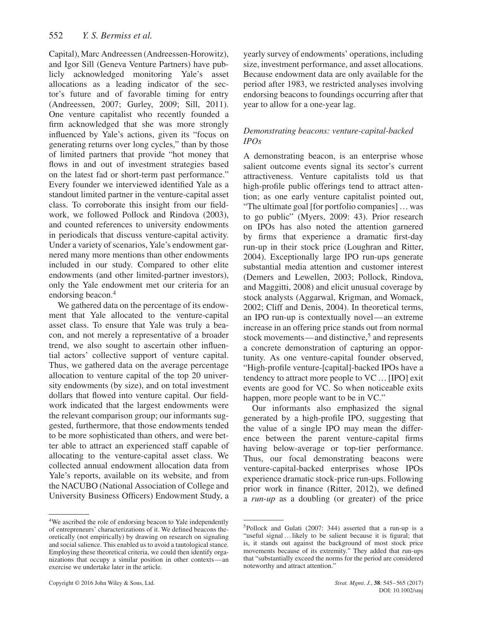Capital), Marc Andreessen (Andreessen-Horowitz), and Igor Sill (Geneva Venture Partners) have publicly acknowledged monitoring Yale's asset allocations as a leading indicator of the sector's future and of favorable timing for entry (Andreessen, 2007; Gurley, 2009; Sill, 2011). One venture capitalist who recently founded a firm acknowledged that she was more strongly influenced by Yale's actions, given its "focus on generating returns over long cycles," than by those of limited partners that provide "hot money that flows in and out of investment strategies based on the latest fad or short-term past performance." Every founder we interviewed identified Yale as a standout limited partner in the venture-capital asset class. To corroborate this insight from our fieldwork, we followed Pollock and Rindova (2003), and counted references to university endowments in periodicals that discuss venture-capital activity. Under a variety of scenarios, Yale's endowment garnered many more mentions than other endowments included in our study. Compared to other elite endowments (and other limited-partner investors), only the Yale endowment met our criteria for an endorsing beacon.<sup>[4](#page-7-0)</sup>

We gathered data on the percentage of its endowment that Yale allocated to the venture-capital asset class. To ensure that Yale was truly a beacon, and not merely a representative of a broader trend, we also sought to ascertain other influential actors' collective support of venture capital. Thus, we gathered data on the average percentage allocation to venture capital of the top 20 university endowments (by size), and on total investment dollars that flowed into venture capital. Our fieldwork indicated that the largest endowments were the relevant comparison group; our informants suggested, furthermore, that those endowments tended to be more sophisticated than others, and were better able to attract an experienced staff capable of allocating to the venture-capital asset class. We collected annual endowment allocation data from Yale's reports, available on its website, and from the NACUBO (National Association of College and University Business Officers) Endowment Study, a

<span id="page-7-0"></span>4We ascribed the role of endorsing beacon to Yale independently of entrepreneurs' characterizations of it. We defined beacons theoretically (not empirically) by drawing on research on signaling and social salience. This enabled us to avoid a tautological stance. Employing these theoretical criteria, we could then identify organizations that occupy a similar position in other contexts—an exercise we undertake later in the article.

yearly survey of endowments' operations, including size, investment performance, and asset allocations. Because endowment data are only available for the period after 1983, we restricted analyses involving endorsing beacons to foundings occurring after that year to allow for a one-year lag.

# *Demonstrating beacons: venture-capital-backed IPOs*

A demonstrating beacon, is an enterprise whose salient outcome events signal its sector's current attractiveness. Venture capitalists told us that high-profile public offerings tend to attract attention; as one early venture capitalist pointed out, "The ultimate goal [for portfolio companies] …was to go public" (Myers, 2009: 43). Prior research on IPOs has also noted the attention garnered by firms that experience a dramatic first-day run-up in their stock price (Loughran and Ritter, 2004). Exceptionally large IPO run-ups generate substantial media attention and customer interest (Demers and Lewellen, 2003; Pollock, Rindova, and Maggitti, 2008) and elicit unusual coverage by stock analysts (Aggarwal, Krigman, and Womack, 2002; Cliff and Denis, 2004). In theoretical terms, an IPO run-up is contextually novel—an extreme increase in an offering price stands out from normal stock movements—and distinctive, $5$  and represents a concrete demonstration of capturing an opportunity. As one venture-capital founder observed, "High-profile venture-[capital]-backed IPOs have a tendency to attract more people to VC …[IPO] exit events are good for VC. So when noticeable exits happen, more people want to be in VC."

Our informants also emphasized the signal generated by a high-profile IPO, suggesting that the value of a single IPO may mean the difference between the parent venture-capital firms having below-average or top-tier performance. Thus, our focal demonstrating beacons were venture-capital-backed enterprises whose IPOs experience dramatic stock-price run-ups. Following prior work in finance (Ritter, 2012), we defined a *run-up* as a doubling (or greater) of the price

<span id="page-7-1"></span><sup>5</sup>Pollock and Gulati (2007: 344) asserted that a run-up is a "useful signal ... likely to be salient because it is figural; that is, it stands out against the background of most stock price movements because of its extremity." They added that run-ups that "substantially exceed the norms for the period are considered noteworthy and attract attention."

Copyright © 2016 John Wiley & Sons, Ltd. *Strat. Mgmt. J.*, **38**: 545–565 (2017)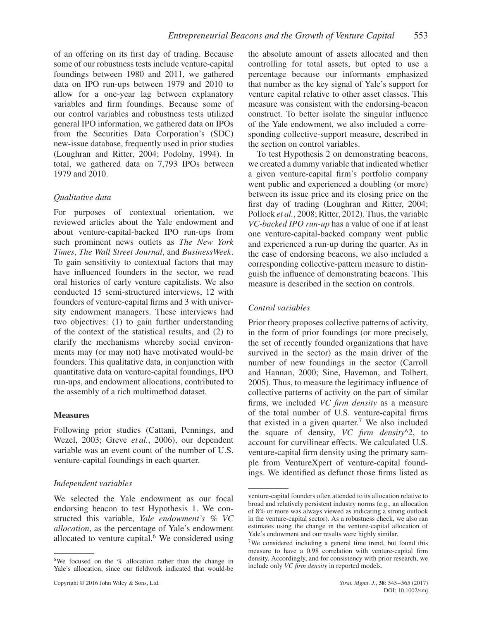of an offering on its first day of trading. Because some of our robustness tests include venture-capital foundings between 1980 and 2011, we gathered data on IPO run-ups between 1979 and 2010 to allow for a one-year lag between explanatory variables and firm foundings. Because some of our control variables and robustness tests utilized general IPO information, we gathered data on IPOs from the Securities Data Corporation's (SDC) new-issue database, frequently used in prior studies (Loughran and Ritter, 2004; Podolny, 1994). In total, we gathered data on 7,793 IPOs between 1979 and 2010.

# *Qualitative data*

For purposes of contextual orientation, we reviewed articles about the Yale endowment and about venture-capital-backed IPO run-ups from such prominent news outlets as *The New York Times*, *The Wall Street Journal*, and *BusinessWeek*. To gain sensitivity to contextual factors that may have influenced founders in the sector, we read oral histories of early venture capitalists. We also conducted 15 semi-structured interviews, 12 with founders of venture-capital firms and 3 with university endowment managers. These interviews had two objectives: (1) to gain further understanding of the context of the statistical results, and (2) to clarify the mechanisms whereby social environments may (or may not) have motivated would-be founders. This qualitative data, in conjunction with quantitative data on venture-capital foundings, IPO run-ups, and endowment allocations, contributed to the assembly of a rich multimethod dataset.

#### **Measures**

Following prior studies (Cattani, Pennings, and Wezel, 2003; Greve *et al.*, 2006), our dependent variable was an event count of the number of U.S. venture-capital foundings in each quarter.

# *Independent variables*

We selected the Yale endowment as our focal endorsing beacon to test Hypothesis 1. We constructed this variable, *Yale endowment's % VC allocation*, as the percentage of Yale's endowment allocated to venture capital. $6$  We considered using the absolute amount of assets allocated and then controlling for total assets, but opted to use a percentage because our informants emphasized that number as the key signal of Yale's support for venture capital relative to other asset classes. This measure was consistent with the endorsing-beacon construct. To better isolate the singular influence of the Yale endowment, we also included a corresponding collective-support measure, described in the section on control variables.

To test Hypothesis 2 on demonstrating beacons, we created a dummy variable that indicated whether a given venture-capital firm's portfolio company went public and experienced a doubling (or more) between its issue price and its closing price on the first day of trading (Loughran and Ritter, 2004; Pollock *et al.*, 2008; Ritter, 2012). Thus, the variable *VC-backed IPO run-up* has a value of one if at least one venture-capital-backed company went public and experienced a run-up during the quarter. As in the case of endorsing beacons, we also included a corresponding collective-pattern measure to distinguish the influence of demonstrating beacons. This measure is described in the section on controls.

# *Control variables*

Prior theory proposes collective patterns of activity, in the form of prior foundings (or more precisely, the set of recently founded organizations that have survived in the sector) as the main driver of the number of new foundings in the sector (Carroll and Hannan, 2000; Sine, Haveman, and Tolbert, 2005). Thus, to measure the legitimacy influence of collective patterns of activity on the part of similar firms, we included *VC firm density* as a measure of the total number of U.S. venture**-**capital firms that existed in a given quarter.<sup>[7](#page-8-1)</sup> We also included the square of density, *VC firm density^2*, to account for curvilinear effects. We calculated U.S. venture**-**capital firm density using the primary sample from VentureXpert of venture-capital foundings. We identified as defunct those firms listed as

<span id="page-8-0"></span><sup>&</sup>lt;sup>6</sup>We focused on the % allocation rather than the change in Yale's allocation, since our fieldwork indicated that would-be

venture-capital founders often attended to its allocation relative to broad and relatively persistent industry norms (e.g., an allocation of 8% or more was always viewed as indicating a strong outlook in the venture-capital sector). As a robustness check, we also ran estimates using the change in the venture-capital allocation of Yale's endowment and our results were highly similar.

<span id="page-8-1"></span><sup>&</sup>lt;sup>7</sup>We considered including a general time trend, but found this measure to have a 0.98 correlation with venture-capital firm density. Accordingly, and for consistency with prior research, we include only *VC firm density* in reported models.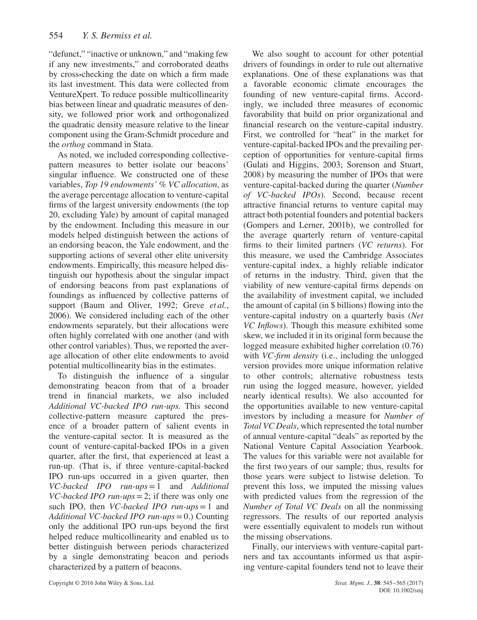"defunct," "inactive or unknown," and "making few if any new investments," and corroborated deaths by cross**-**checking the date on which a firm made its last investment. This data were collected from VentureXpert. To reduce possible multicollinearity bias between linear and quadratic measures of density, we followed prior work and orthogonalized the quadratic density measure relative to the linear component using the Gram-Schmidt procedure and the *orthog* command in Stata.

As noted, we included corresponding collectivepattern measures to better isolate our beacons' singular influence. We constructed one of these variables, *Top 19 endowments' % VC allocation*, as the average percentage allocation to venture-capital firms of the largest university endowments (the top 20, excluding Yale) by amount of capital managed by the endowment. Including this measure in our models helped distinguish between the actions of an endorsing beacon, the Yale endowment, and the supporting actions of several other elite university endowments. Empirically, this measure helped distinguish our hypothesis about the singular impact of endorsing beacons from past explanations of foundings as influenced by collective patterns of support (Baum and Oliver, 1992; Greve *et al.*, 2006). We considered including each of the other endowments separately, but their allocations were often highly correlated with one another (and with other control variables). Thus, we reported the average allocation of other elite endowments to avoid potential multicollinearity bias in the estimates.

To distinguish the influence of a singular demonstrating beacon from that of a broader trend in financial markets, we also included *Additional VC-backed IPO run-ups.* This second collective-pattern measure captured the presence of a broader pattern of salient events in the venture-capital sector. It is measured as the count of venture-capital-backed IPOs in a given quarter, after the first, that experienced at least a run-up. (That is, if three venture-capital-backed IPO run-ups occurred in a given quarter, then *VC-backed IPO run-ups*=1 and *Additional VC-backed IPO run-ups*=2; if there was only one such IPO, then *VC-backed IPO run-ups*=1 and *Additional VC-backed IPO run-ups*=0.) Counting only the additional IPO run-ups beyond the first helped reduce multicollinearity and enabled us to better distinguish between periods characterized by a single demonstrating beacon and periods characterized by a pattern of beacons.

We also sought to account for other potential drivers of foundings in order to rule out alternative explanations. One of these explanations was that a favorable economic climate encourages the founding of new venture-capital firms. Accordingly, we included three measures of economic favorability that build on prior organizational and financial research on the venture-capital industry. First, we controlled for "heat" in the market for venture-capital-backed IPOs and the prevailing perception of opportunities for venture-capital firms (Gulati and Higgins, 2003; Sorenson and Stuart, 2008) by measuring the number of IPOs that were venture-capital-backed during the quarter (*Number of VC-backed IPOs*). Second, because recent attractive financial returns to venture capital may attract both potential founders and potential backers (Gompers and Lerner, 2001b), we controlled for the average quarterly return of venture-capital firms to their limited partners (*VC returns*). For this measure, we used the Cambridge Associates venture-capital index, a highly reliable indicator of returns in the industry. Third, given that the viability of new venture-capital firms depends on the availability of investment capital, we included the amount of capital (in \$ billions) flowing into the venture-capital industry on a quarterly basis (*Net VC Inflows*). Though this measure exhibited some skew, we included it in its original form because the logged measure exhibited higher correlation (0.76) with *VC-firm density* (i.e., including the unlogged version provides more unique information relative to other controls; alternative robustness tests run using the logged measure, however, yielded nearly identical results). We also accounted for the opportunities available to new venture-capital investors by including a measure for *Number of Total VC Deals*, which represented the total number of annual venture-capital "deals" as reported by the National Venture Capital Association Yearbook. The values for this variable were not available for the first two years of our sample; thus, results for those years were subject to listwise deletion. To prevent this loss, we imputed the missing values with predicted values from the regression of the *Number of Total VC Deals* on all the nonmissing regressors. The results of our reported analysis were essentially equivalent to models run without the missing observations.

Finally, our interviews with venture-capital partners and tax accountants informed us that aspiring venture-capital founders tend not to leave their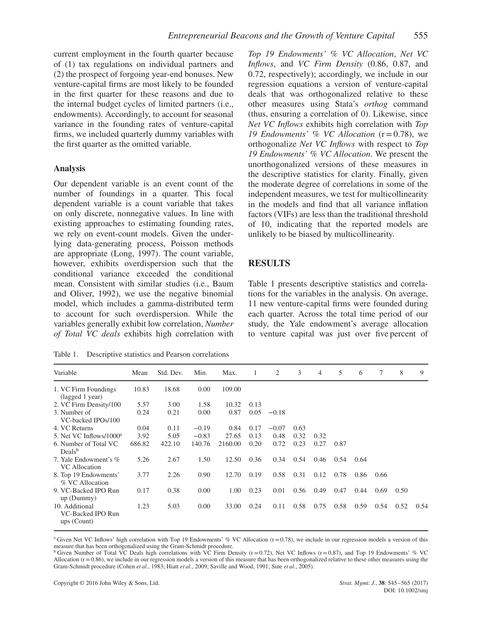current employment in the fourth quarter because of (1) tax regulations on individual partners and (2) the prospect of forgoing year-end bonuses. New venture-capital firms are most likely to be founded in the first quarter for these reasons and due to the internal budget cycles of limited partners (i.e., endowments). Accordingly, to account for seasonal variance in the founding rates of venture-capital firms, we included quarterly dummy variables with the first quarter as the omitted variable.

#### **Analysis**

Our dependent variable is an event count of the number of foundings in a quarter. This focal dependent variable is a count variable that takes on only discrete, nonnegative values. In line with existing approaches to estimating founding rates, we rely on event-count models. Given the underlying data-generating process, Poisson methods are appropriate (Long, 1997). The count variable, however, exhibits overdispersion such that the conditional variance exceeded the conditional mean. Consistent with similar studies (i.e., Baum and Oliver, 1992), we use the negative binomial model, which includes a gamma-distributed term to account for such overdispersion. While the variables generally exhibit low correlation, *Number of Total VC deals* exhibits high correlation with

Table 1. Descriptive statistics and Pearson correlations

*Top 19 Endowments' % VC Allocation*, *Net VC Inflows*, and *VC Firm Density* (0.86, 0.87, and 0.72, respectively); accordingly, we include in our regression equations a version of venture-capital deals that was orthogonalized relative to these other measures using Stata's *orthog* command (thus, ensuring a correlation of 0). Likewise, since *Net VC Inflows* exhibits high correlation with *Top 19 Endowments' % VC Allocation* (r=0.78), we orthogonalize *Net VC Inflows* with respect to *Top 19 Endowments' % VC Allocation*. We present the unorthogonalized versions of these measures in the descriptive statistics for clarity. Finally, given the moderate degree of correlations in some of the independent measures, we test for multicollinearity in the models and find that all variance inflation factors (VIFs) are less than the traditional threshold of 10, indicating that the reported models are unlikely to be biased by multicollinearity.

# **RESULTS**

Table 1 presents descriptive statistics and correlations for the variables in the analysis. On average, 11 new venture-capital firms were founded during each quarter. Across the total time period of our study, the Yale endowment's average allocation to venture capital was just over five percent of

| Variable                                             | Mean   | Std. Dev. | Min.    | Max.    | 1    | 2       | 3    | 4    | 5    | 6    | 7    | 8    | 9    |
|------------------------------------------------------|--------|-----------|---------|---------|------|---------|------|------|------|------|------|------|------|
| 1. VC Firm Foundings<br>(lagged 1 year)              | 10.83  | 18.68     | 0.00    | 109.00  |      |         |      |      |      |      |      |      |      |
| 2. VC Firm Density/100                               | 5.57   | 3.00      | 1.58    | 10.32   | 0.13 |         |      |      |      |      |      |      |      |
| 3. Number of<br>VC-backed IPOs/100                   | 0.24   | 0.21      | 0.00    | 0.87    | 0.05 | $-0.18$ |      |      |      |      |      |      |      |
| 4. VC Returns                                        | 0.04   | 0.11      | $-0.19$ | 0.84    | 0.17 | $-0.07$ | 0.63 |      |      |      |      |      |      |
| 5. Net VC Inflows/1000 <sup>a</sup>                  | 3.92   | 5.05      | $-0.83$ | 27.65   | 0.13 | 0.48    | 0.32 | 0.32 |      |      |      |      |      |
| 6. Number of Total VC<br>Deals <sup>b</sup>          | 686.82 | 422.10    | 140.76  | 2160.00 | 0.20 | 0.72    | 0.23 | 0.27 | 0.87 |      |      |      |      |
| 7. Yale Endowment's %<br>VC Allocation               | 5.26   | 2.67      | 1.50    | 12.50   | 0.36 | 0.34    | 0.54 | 0.46 | 0.54 | 0.64 |      |      |      |
| 8. Top 19 Endowments'<br>% VC Allocation             | 3.77   | 2.26      | 0.90    | 12.70   | 0.19 | 0.58    | 0.31 | 0.12 | 0.78 | 0.86 | 0.66 |      |      |
| 9. VC-Backed IPO Run<br>$up$ (Dummy)                 | 0.17   | 0.38      | 0.00    | 1.00    | 0.23 | 0.01    | 0.56 | 0.49 | 0.47 | 0.44 | 0.69 | 0.50 |      |
| 10. Additional<br>VC-Backed IPO Run<br>$ups$ (Count) | 1.23   | 5.03      | 0.00    | 33.00   | 0.24 | 0.11    | 0.58 | 0.75 | 0.58 | 0.59 | 0.54 | 0.52 | 0.54 |

<sup>a</sup> Given Net VC Inflows' high correlation with Top 19 Endowments' % VC Allocation ( $r = 0.78$ ), we include in our regression models a version of this measure that has been orthogonalized using the Gram-Schmidt procedure.

 $b$  Given Number of Total VC Deals high correlations with VC Firm Density (r=0.72), Net VC Inflows (r=0.87), and Top 19 Endowments' % VC Allocation  $(r=0.86)$ , we include in our regression models a version of this measure that has been orthogonalized relative to these other measures using the Gram-Schmidt procedure (Cohen *et al.*, 1983; Hiatt *et al.*, 2009; Saville and Wood, 1991; Sine *et al.*, 2005).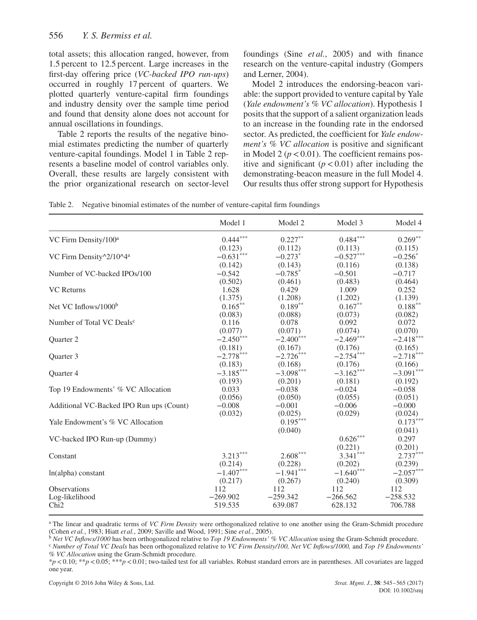total assets; this allocation ranged, however, from 1.5 percent to 12.5 percent. Large increases in the first-day offering price (*VC-backed IPO run-ups*) occurred in roughly 17 percent of quarters. We plotted quarterly venture-capital firm foundings and industry density over the sample time period and found that density alone does not account for annual oscillations in foundings.

Table 2 reports the results of the negative binomial estimates predicting the number of quarterly venture-capital foundings. Model 1 in Table 2 represents a baseline model of control variables only. Overall, these results are largely consistent with the prior organizational research on sector-level foundings (Sine *et al.*, 2005) and with finance research on the venture-capital industry (Gompers and Lerner, 2004).

Model 2 introduces the endorsing-beacon variable: the support provided to venture capital by Yale (*Yale endowment's % VC allocation*). Hypothesis 1 posits that the support of a salient organization leads to an increase in the founding rate in the endorsed sector. As predicted, the coefficient for *Yale endowment's % VC allocation* is positive and significant in Model 2 ( $p < 0.01$ ). The coefficient remains positive and significant  $(p < 0.01)$  after including the demonstrating-beacon measure in the full Model 4. Our results thus offer strong support for Hypothesis

|  | Table 2. Negative binomial estimates of the number of venture-capital firm foundings |  |  |  |  |
|--|--------------------------------------------------------------------------------------|--|--|--|--|
|--|--------------------------------------------------------------------------------------|--|--|--|--|

|                                          | Model 1     | Model 2               | Model 3                | Model 4     |
|------------------------------------------|-------------|-----------------------|------------------------|-------------|
| VC Firm Density/100 <sup>a</sup>         | $0.444***$  | $0.227**$             | $0.484^{\ast\ast\ast}$ | $0.269**$   |
|                                          | (0.123)     | (0.112)               | (0.113)                | (0.115)     |
| VC Firm Density^2/10^4 <sup>a</sup>      | $-0.631***$ | $-0.273$ <sup>*</sup> | $-0.527***$            | $-0.256^*$  |
|                                          | (0.142)     | (0.143)               | (0.116)                | (0.138)     |
| Number of VC-backed IPOs/100             | $-0.542$    | $-0.785$ <sup>*</sup> | $-0.501$               | $-0.717$    |
|                                          | (0.502)     | (0.461)               | (0.483)                | (0.464)     |
| <b>VC</b> Returns                        | 1.628       | 0.429                 | 1.009                  | 0.252       |
|                                          | (1.375)     | (1.208)               | (1.202)                | (1.139)     |
| Net VC Inflows/1000 <sup>b</sup>         | $0.165***$  | $0.189**$             | $0.167**$              | $0.188***$  |
|                                          | (0.083)     | (0.088)               | (0.073)                | (0.082)     |
| Number of Total VC Deals <sup>c</sup>    | 0.116       | 0.078                 | 0.092                  | 0.072       |
|                                          | (0.077)     | (0.071)               | (0.074)                | (0.070)     |
| <b>Ouarter 2</b>                         | $-2.450***$ | $-2.400***$           | $-2.469***$            | $-2.418***$ |
|                                          | (0.181)     | (0.167)               | (0.176)                | (0.165)     |
| Ouarter 3                                | $-2.778***$ | $-2.726***$           | $-2.754***$            | $-2.718***$ |
|                                          | (0.183)     | (0.168)               | (0.176)                | (0.166)     |
| <b>Ouarter 4</b>                         | $-3.185***$ | $-3.098***$           | $-3.162***$            | $-3.091***$ |
|                                          | (0.193)     | (0.201)               | (0.181)                | (0.192)     |
| Top 19 Endowments' % VC Allocation       | 0.033       | $-0.038$              | $-0.024$               | $-0.058$    |
|                                          | (0.056)     | (0.050)               | (0.055)                | (0.051)     |
| Additional VC-Backed IPO Run ups (Count) | $-0.008$    | $-0.001$              | $-0.006$               | $-0.000$    |
|                                          | (0.032)     | (0.025)               | (0.029)                | (0.024)     |
| Yale Endowment's % VC Allocation         |             | $0.195***$            |                        | $0.173***$  |
|                                          |             | (0.040)               |                        | (0.041)     |
| VC-backed IPO Run-up (Dummy)             |             |                       | $0.626^{\ast\ast\ast}$ | 0.297       |
|                                          |             |                       | (0.221)                | (0.201)     |
| Constant                                 | $3.213***$  | $2.608***$            | $3.341***$             | $2.737***$  |
|                                          | (0.214)     | (0.228)               | (0.202)                | (0.239)     |
| $ln(alpha)$ constant                     | $-1.407***$ | $-1.941***$           | $-1.640***$            | $-2.057***$ |
|                                          | (0.217)     | (0.267)               | (0.240)                | (0.309)     |
| <b>Observations</b>                      | 112         | 112                   | 112                    | 112         |
| Log-likelihood                           | $-269.902$  | $-259.342$            | $-266.562$             | $-258.532$  |
| Chi <sub>2</sub>                         | 519.535     | 639.087               | 628.132                | 706.788     |

<sup>a</sup> The linear and quadratic terms of *VC Firm Density* were orthogonalized relative to one another using the Gram-Schmidt procedure (Cohen *et al.*, 1983; Hiatt *et al.*, 2009; Saville and Wood, 1991; Sine *et al.*, 2005)

<sup>b</sup> Net VC Inflows/1000 has been orthogonalized relative to Top 19 Endowments' % VC Allocation using the Gram-Schmidt procedure.<br><sup>c</sup> Number of Total VC Deals has been orthogonalized relative to VC Firm Density/100, Net VC *% VC Allocation* using the Gram-Schmidt procedure.

\**p<*0.10; \*\**p<*0.05; \*\*\**p<*0.01; two-tailed test for all variables. Robust standard errors are in parentheses. All covariates are lagged one year.

Copyright © 2016 John Wiley & Sons, Ltd. *Strat. Mgmt. J.*, **38**: 545–565 (2017)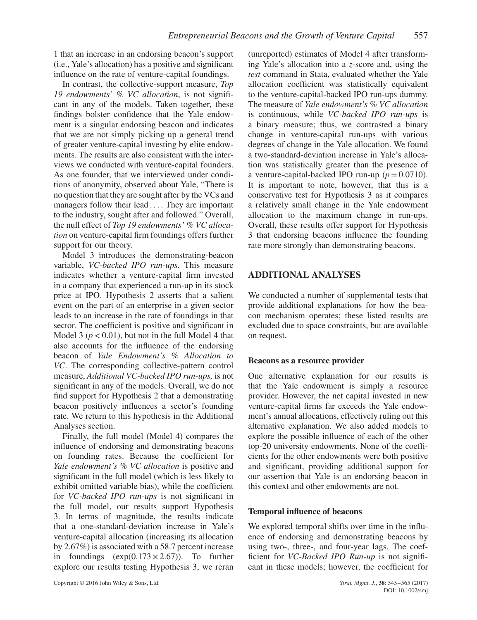1 that an increase in an endorsing beacon's support (i.e., Yale's allocation) has a positive and significant influence on the rate of venture-capital foundings.

In contrast, the collective-support measure, *Top 19 endowments' % VC allocation*, is not significant in any of the models. Taken together, these findings bolster confidence that the Yale endowment is a singular endorsing beacon and indicates that we are not simply picking up a general trend of greater venture-capital investing by elite endowments. The results are also consistent with the interviews we conducted with venture-capital founders. As one founder, that we interviewed under conditions of anonymity, observed about Yale, "There is no question that they are sought after by the VCs and managers follow their lead .... They are important to the industry, sought after and followed." Overall, the null effect of *Top 19 endowments' % VC allocation* on venture-capital firm foundings offers further support for our theory.

Model 3 introduces the demonstrating-beacon variable, *VC-backed IPO run-ups.* This measure indicates whether a venture-capital firm invested in a company that experienced a run-up in its stock price at IPO. Hypothesis 2 asserts that a salient event on the part of an enterprise in a given sector leads to an increase in the rate of foundings in that sector. The coefficient is positive and significant in Model 3 ( $p < 0.01$ ), but not in the full Model 4 that also accounts for the influence of the endorsing beacon of *Yale Endowment's % Allocation to VC*. The corresponding collective-pattern control measure, *Additional VC-backed IPO run-ups,* is not significant in any of the models. Overall, we do not find support for Hypothesis 2 that a demonstrating beacon positively influences a sector's founding rate. We return to this hypothesis in the Additional Analyses section.

Finally, the full model (Model 4) compares the influence of endorsing and demonstrating beacons on founding rates. Because the coefficient for *Yale endowment's % VC allocation* is positive and significant in the full model (which is less likely to exhibit omitted variable bias), while the coefficient for *VC-backed IPO run-ups* is not significant in the full model, our results support Hypothesis 3. In terms of magnitude, the results indicate that a one-standard-deviation increase in Yale's venture-capital allocation (increasing its allocation by 2.67%) is associated with a 58.7 percent increase in foundings  $(exp(0.173 \times 2.67))$ . To further explore our results testing Hypothesis 3, we reran

(unreported) estimates of Model 4 after transforming Yale's allocation into a *z*-score and, using the *test* command in Stata, evaluated whether the Yale allocation coefficient was statistically equivalent to the venture-capital-backed IPO run-ups dummy. The measure of *Yale endowment's % VC allocation* is continuous, while *VC-backed IPO run-ups* is a binary measure; thus, we contrasted a binary change in venture-capital run-ups with various degrees of change in the Yale allocation. We found a two-standard-deviation increase in Yale's allocation was statistically greater than the presence of a venture-capital-backed IPO run-up  $(p=0.0710)$ . It is important to note, however, that this is a conservative test for Hypothesis 3 as it compares a relatively small change in the Yale endowment allocation to the maximum change in run-ups. Overall, these results offer support for Hypothesis 3 that endorsing beacons influence the founding rate more strongly than demonstrating beacons.

# **ADDITIONAL ANALYSES**

We conducted a number of supplemental tests that provide additional explanations for how the beacon mechanism operates; these listed results are excluded due to space constraints, but are available on request.

#### **Beacons as a resource provider**

One alternative explanation for our results is that the Yale endowment is simply a resource provider. However, the net capital invested in new venture-capital firms far exceeds the Yale endowment's annual allocations, effectively ruling out this alternative explanation. We also added models to explore the possible influence of each of the other top-20 university endowments. None of the coefficients for the other endowments were both positive and significant, providing additional support for our assertion that Yale is an endorsing beacon in this context and other endowments are not.

# **Temporal influence of beacons**

We explored temporal shifts over time in the influence of endorsing and demonstrating beacons by using two-, three-, and four-year lags. The coefficient for *VC-Backed IPO Run-up* is not significant in these models; however, the coefficient for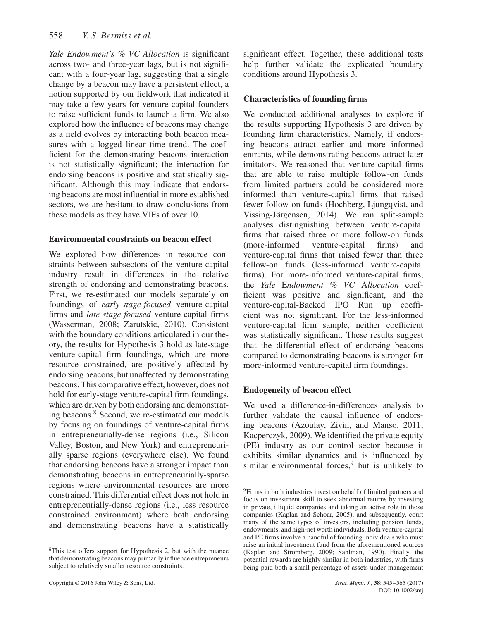*Yale Endowment's % VC Allocation* is significant across two- and three-year lags, but is not significant with a four-year lag, suggesting that a single change by a beacon may have a persistent effect, a notion supported by our fieldwork that indicated it may take a few years for venture-capital founders to raise sufficient funds to launch a firm. We also explored how the influence of beacons may change as a field evolves by interacting both beacon measures with a logged linear time trend. The coefficient for the demonstrating beacons interaction is not statistically significant; the interaction for endorsing beacons is positive and statistically significant. Although this may indicate that endorsing beacons are most influential in more established sectors, we are hesitant to draw conclusions from these models as they have VIFs of over 10.

# **Environmental constraints on beacon effect**

We explored how differences in resource constraints between subsectors of the venture-capital industry result in differences in the relative strength of endorsing and demonstrating beacons. First, we re-estimated our models separately on foundings of *early-stage-focused* venture-capital firms and *late-stage-focused* venture-capital firms (Wasserman, 2008; Zarutskie, 2010). Consistent with the boundary conditions articulated in our theory, the results for Hypothesis 3 hold as late-stage venture-capital firm foundings, which are more resource constrained, are positively affected by endorsing beacons, but unaffected by demonstrating beacons. This comparative effect, however, does not hold for early-stage venture-capital firm foundings, which are driven by both endorsing and demonstrat-ing beacons.<sup>[8](#page-13-0)</sup> Second, we re-estimated our models by focusing on foundings of venture-capital firms in entrepreneurially-dense regions (i.e., Silicon Valley, Boston, and New York) and entrepreneurially sparse regions (everywhere else). We found that endorsing beacons have a stronger impact than demonstrating beacons in entrepreneurially-sparse regions where environmental resources are more constrained. This differential effect does not hold in entrepreneurially-dense regions (i.e., less resource constrained environment) where both endorsing and demonstrating beacons have a statistically significant effect. Together, these additional tests help further validate the explicated boundary conditions around Hypothesis 3.

# **Characteristics of founding firms**

We conducted additional analyses to explore if the results supporting Hypothesis 3 are driven by founding firm characteristics. Namely, if endorsing beacons attract earlier and more informed entrants, while demonstrating beacons attract later imitators. We reasoned that venture-capital firms that are able to raise multiple follow-on funds from limited partners could be considered more informed than venture-capital firms that raised fewer follow-on funds (Hochberg, Ljungqvist, and Vissing-Jørgensen, 2014). We ran split-sample analyses distinguishing between venture-capital firms that raised three or more follow-on funds (more-informed venture-capital firms) and venture-capital firms that raised fewer than three follow-on funds (less-informed venture-capital firms). For more-informed venture-capital firms, the *Yale* E*ndowment % VC* A*llocation* coefficient was positive and significant, and the venture-capital-Backed IPO Run up coefficient was not significant. For the less-informed venture-capital firm sample, neither coefficient was statistically significant. These results suggest that the differential effect of endorsing beacons compared to demonstrating beacons is stronger for more-informed venture-capital firm foundings.

# **Endogeneity of beacon effect**

We used a difference-in-differences analysis to further validate the causal influence of endorsing beacons (Azoulay, Zivin, and Manso, 2011; Kacperczyk, 2009). We identified the private equity (PE) industry as our control sector because it exhibits similar dynamics and is influenced by similar environmental forces, $9$  but is unlikely to

<span id="page-13-0"></span><sup>&</sup>lt;sup>8</sup>This test offers support for Hypothesis 2, but with the nuance that demonstrating beacons may primarily influence entrepreneurs subject to relatively smaller resource constraints.

<span id="page-13-1"></span><sup>9</sup>Firms in both industries invest on behalf of limited partners and focus on investment skill to seek abnormal returns by investing in private, illiquid companies and taking an active role in those companies (Kaplan and Schoar, 2005), and subsequently, court many of the same types of investors, including pension funds, endowments, and high-net worth individuals. Both venture-capital and PE firms involve a handful of founding individuals who must raise an initial investment fund from the aforementioned sources (Kaplan and Stromberg, 2009; Sahlman, 1990). Finally, the potential rewards are highly similar in both industries, with firms being paid both a small percentage of assets under management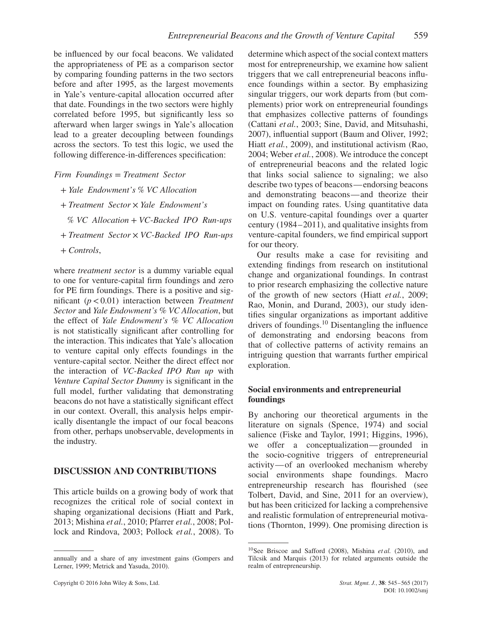be influenced by our focal beacons. We validated the appropriateness of PE as a comparison sector by comparing founding patterns in the two sectors before and after 1995, as the largest movements in Yale's venture-capital allocation occurred after that date. Foundings in the two sectors were highly correlated before 1995, but significantly less so afterward when larger swings in Yale's allocation lead to a greater decoupling between foundings across the sectors. To test this logic, we used the following difference-in-differences specification:

#### *Firm Foundings* = *Treatment Sector*

- + *Yale Endowment's* % *VC Allocation*
- + *Treatment Sector* × *Yale Endowment's*
- % *VC Allocation* + *VC*-*Backed IPO Run*-*ups*
- + *Treatment Sector* × *VC*-*Backed IPO Run*-*ups*
- + *Controls*,

where *treatment sector* is a dummy variable equal to one for venture-capital firm foundings and zero for PE firm foundings. There is a positive and significant (*p<*0.01) interaction between *Treatment Sector* and *Yale Endowment's % VC Allocation*, but the effect of *Yale Endowment's % VC Allocation* is not statistically significant after controlling for the interaction. This indicates that Yale's allocation to venture capital only effects foundings in the venture-capital sector. Neither the direct effect nor the interaction of *VC-Backed IPO Run up* with *Venture Capital Sector Dummy* is significant in the full model, further validating that demonstrating beacons do not have a statistically significant effect in our context. Overall, this analysis helps empirically disentangle the impact of our focal beacons from other, perhaps unobservable, developments in the industry.

#### **DISCUSSION AND CONTRIBUTIONS**

This article builds on a growing body of work that recognizes the critical role of social context in shaping organizational decisions (Hiatt and Park, 2013; Mishina *et al.*, 2010; Pfarrer *et al.*, 2008; Pollock and Rindova, 2003; Pollock *et al.*, 2008). To determine which aspect of the social context matters most for entrepreneurship, we examine how salient triggers that we call entrepreneurial beacons influence foundings within a sector. By emphasizing singular triggers, our work departs from (but complements) prior work on entrepreneurial foundings that emphasizes collective patterns of foundings (Cattani *et al.*, 2003; Sine, David, and Mitsuhashi, 2007), influential support (Baum and Oliver, 1992; Hiatt *et al.*, 2009), and institutional activism (Rao, 2004; Weber *et al.*, 2008). We introduce the concept of entrepreneurial beacons and the related logic that links social salience to signaling; we also describe two types of beacons—endorsing beacons and demonstrating beacons—and theorize their impact on founding rates. Using quantitative data on U.S. venture-capital foundings over a quarter century (1984–2011), and qualitative insights from venture-capital founders, we find empirical support for our theory.

Our results make a case for revisiting and extending findings from research on institutional change and organizational foundings. In contrast to prior research emphasizing the collective nature of the growth of new sectors (Hiatt *et al.*, 2009; Rao, Monin, and Durand, 2003), our study identifies singular organizations as important additive drivers of foundings.[10](#page-14-0) Disentangling the influence of demonstrating and endorsing beacons from that of collective patterns of activity remains an intriguing question that warrants further empirical exploration.

#### **Social environments and entrepreneurial foundings**

By anchoring our theoretical arguments in the literature on signals (Spence, 1974) and social salience (Fiske and Taylor, 1991; Higgins, 1996), we offer a conceptualization—grounded in the socio-cognitive triggers of entrepreneurial activity—of an overlooked mechanism whereby social environments shape foundings. Macro entrepreneurship research has flourished (see Tolbert, David, and Sine, 2011 for an overview), but has been criticized for lacking a comprehensive and realistic formulation of entrepreneurial motivations (Thornton, 1999). One promising direction is

annually and a share of any investment gains (Gompers and Lerner, 1999; Metrick and Yasuda, 2010).

<span id="page-14-0"></span><sup>10</sup>See Briscoe and Safford (2008), Mishina *et al.* (2010), and Tilcsik and Marquis (2013) for related arguments outside the realm of entrepreneurship.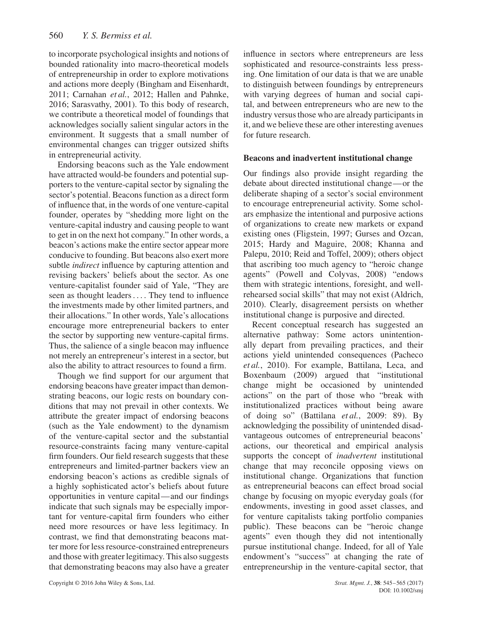to incorporate psychological insights and notions of bounded rationality into macro-theoretical models of entrepreneurship in order to explore motivations and actions more deeply (Bingham and Eisenhardt, 2011; Carnahan *et al.*, 2012; Hallen and Pahnke, 2016; Sarasvathy, 2001). To this body of research, we contribute a theoretical model of foundings that acknowledges socially salient singular actors in the environment. It suggests that a small number of environmental changes can trigger outsized shifts in entrepreneurial activity.

Endorsing beacons such as the Yale endowment have attracted would-be founders and potential supporters to the venture-capital sector by signaling the sector's potential. Beacons function as a direct form of influence that, in the words of one venture-capital founder, operates by "shedding more light on the venture-capital industry and causing people to want to get in on the next hot company." In other words, a beacon's actions make the entire sector appear more conducive to founding. But beacons also exert more subtle *indirect* influence by capturing attention and revising backers' beliefs about the sector. As one venture-capitalist founder said of Yale, "They are seen as thought leaders .... They tend to influence the investments made by other limited partners, and their allocations." In other words, Yale's allocations encourage more entrepreneurial backers to enter the sector by supporting new venture-capital firms. Thus, the salience of a single beacon may influence not merely an entrepreneur's interest in a sector, but also the ability to attract resources to found a firm.

Though we find support for our argument that endorsing beacons have greater impact than demonstrating beacons, our logic rests on boundary conditions that may not prevail in other contexts. We attribute the greater impact of endorsing beacons (such as the Yale endowment) to the dynamism of the venture-capital sector and the substantial resource-constraints facing many venture-capital firm founders. Our field research suggests that these entrepreneurs and limited-partner backers view an endorsing beacon's actions as credible signals of a highly sophisticated actor's beliefs about future opportunities in venture capital—and our findings indicate that such signals may be especially important for venture-capital firm founders who either need more resources or have less legitimacy. In contrast, we find that demonstrating beacons matter more for less resource-constrained entrepreneurs and those with greater legitimacy. This also suggests that demonstrating beacons may also have a greater influence in sectors where entrepreneurs are less sophisticated and resource-constraints less pressing. One limitation of our data is that we are unable to distinguish between foundings by entrepreneurs with varying degrees of human and social capital, and between entrepreneurs who are new to the industry versus those who are already participants in it, and we believe these are other interesting avenues for future research.

#### **Beacons and inadvertent institutional change**

Our findings also provide insight regarding the debate about directed institutional change—or the deliberate shaping of a sector's social environment to encourage entrepreneurial activity. Some scholars emphasize the intentional and purposive actions of organizations to create new markets or expand existing ones (Fligstein, 1997; Gurses and Ozcan, 2015; Hardy and Maguire, 2008; Khanna and Palepu, 2010; Reid and Toffel, 2009); others object that ascribing too much agency to "heroic change agents" (Powell and Colyvas, 2008) "endows them with strategic intentions, foresight, and wellrehearsed social skills" that may not exist (Aldrich, 2010). Clearly, disagreement persists on whether institutional change is purposive and directed.

Recent conceptual research has suggested an alternative pathway: Some actors unintentionally depart from prevailing practices, and their actions yield unintended consequences (Pacheco *et al.*, 2010). For example, Battilana, Leca, and Boxenbaum (2009) argued that "institutional change might be occasioned by unintended actions" on the part of those who "break with institutionalized practices without being aware of doing so" (Battilana *et al.*, 2009: 89). By acknowledging the possibility of unintended disadvantageous outcomes of entrepreneurial beacons' actions, our theoretical and empirical analysis supports the concept of *inadvertent* institutional change that may reconcile opposing views on institutional change. Organizations that function as entrepreneurial beacons can effect broad social change by focusing on myopic everyday goals (for endowments, investing in good asset classes, and for venture capitalists taking portfolio companies public). These beacons can be "heroic change agents" even though they did not intentionally pursue institutional change. Indeed, for all of Yale endowment's "success" at changing the rate of entrepreneurship in the venture-capital sector, that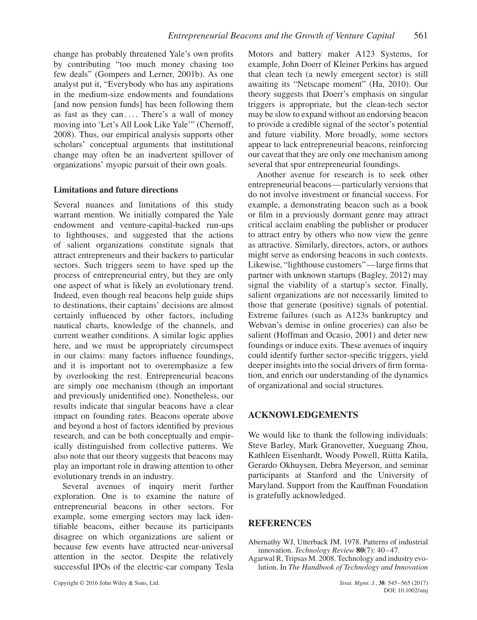change has probably threatened Yale's own profits by contributing "too much money chasing too few deals" (Gompers and Lerner, 2001b). As one analyst put it, "Everybody who has any aspirations in the medium-size endowments and foundations [and now pension funds] has been following them as fast as they can .... There's a wall of money moving into 'Let's All Look Like Yale'" (Chernoff, 2008). Thus, our empirical analysis supports other scholars' conceptual arguments that institutional change may often be an inadvertent spillover of organizations' myopic pursuit of their own goals.

#### **Limitations and future directions**

Several nuances and limitations of this study warrant mention. We initially compared the Yale endowment and venture-capital-backed run-ups to lighthouses, and suggested that the actions of salient organizations constitute signals that attract entrepreneurs and their backers to particular sectors. Such triggers seem to have sped up the process of entrepreneurial entry, but they are only one aspect of what is likely an evolutionary trend. Indeed, even though real beacons help guide ships to destinations, their captains' decisions are almost certainly influenced by other factors, including nautical charts, knowledge of the channels, and current weather conditions. A similar logic applies here, and we must be appropriately circumspect in our claims: many factors influence foundings, and it is important not to overemphasize a few by overlooking the rest. Entrepreneurial beacons are simply one mechanism (though an important and previously unidentified one). Nonetheless, our results indicate that singular beacons have a clear impact on founding rates. Beacons operate above and beyond a host of factors identified by previous research, and can be both conceptually and empirically distinguished from collective patterns. We also note that our theory suggests that beacons may play an important role in drawing attention to other evolutionary trends in an industry.

Several avenues of inquiry merit further exploration. One is to examine the nature of entrepreneurial beacons in other sectors. For example, some emerging sectors may lack identifiable beacons, either because its participants disagree on which organizations are salient or because few events have attracted near-universal attention in the sector. Despite the relatively successful IPOs of the electric-car company Tesla Motors and battery maker A123 Systems, for example, John Doerr of Kleiner Perkins has argued that clean tech (a newly emergent sector) is still awaiting its "Netscape moment" (Ha, 2010). Our theory suggests that Doerr's emphasis on singular triggers is appropriate, but the clean-tech sector may be slow to expand without an endorsing beacon to provide a credible signal of the sector's potential and future viability. More broadly, some sectors appear to lack entrepreneurial beacons, reinforcing our caveat that they are only one mechanism among several that spur entrepreneurial foundings.

Another avenue for research is to seek other entrepreneurial beacons—particularly versions that do not involve investment or financial success. For example, a demonstrating beacon such as a book or film in a previously dormant genre may attract critical acclaim enabling the publisher or producer to attract entry by others who now view the genre as attractive. Similarly, directors, actors, or authors might serve as endorsing beacons in such contexts. Likewise, "lighthouse customers"—large firms that partner with unknown startups (Bagley, 2012) may signal the viability of a startup's sector. Finally, salient organizations are not necessarily limited to those that generate (positive) signals of potential. Extreme failures (such as A123s bankruptcy and Webvan's demise in online groceries) can also be salient (Hoffman and Ocasio, 2001) and deter new foundings or induce exits. These avenues of inquiry could identify further sector-specific triggers, yield deeper insights into the social drivers of firm formation, and enrich our understanding of the dynamics of organizational and social structures.

# **ACKNOWLEDGEMENTS**

We would like to thank the following individuals: Steve Barley, Mark Granovetter, Xueguang Zhou, Kathleen Eisenhardt, Woody Powell, Riitta Katila, Gerardo Okhuysen, Debra Meyerson, and seminar participants at Stanford and the University of Maryland. Support from the Kauffman Foundation is gratefully acknowledged.

#### **REFERENCES**

- Abernathy WJ, Utterback JM. 1978. Patterns of industrial innovation. *Technology Review* **80**(7): 40–47.
- Agarwal R, Tripsas M. 2008. Technology and industry evolution. In *The Handbook of Technology and Innovation*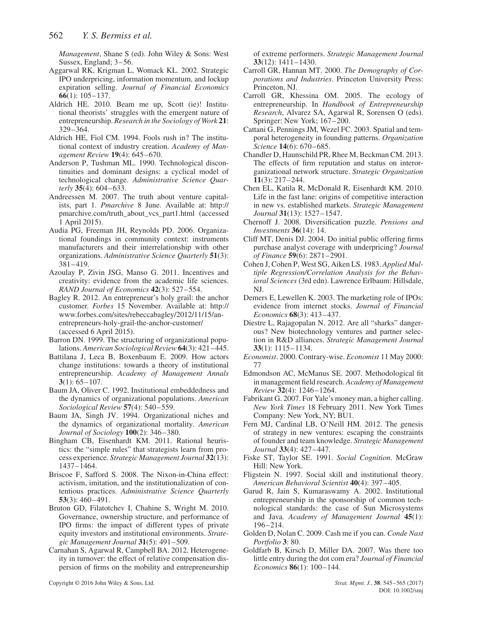*Management*, Shane S (ed). John Wiley & Sons: West Sussex, England; 3–56.

- Aggarwal RK, Krigman L, Womack KL. 2002. Strategic IPO underpricing, information momentum, and lockup expiration selling. *Journal of Financial Economics* **66**(1): 105–137.
- Aldrich HE. 2010. Beam me up, Scott (ie)! Institutional theorists' struggles with the emergent nature of entrepreneurship. *Research in the Sociology of Work* **21**: 329–364.
- Aldrich HE, Fiol CM. 1994. Fools rush in? The institutional context of industry creation. *Academy of Management Review* **19**(4): 645–670.
- Anderson P, Tushman ML. 1990. Technological discontinuities and dominant designs: a cyclical model of technological change. *Administrative Science Quarterly* **35**(4): 604–633.
- Andreessen M. 2007. The truth about venture capitalists, part 1. *Pmarchive* 8 June. Available at: http:// pmarchive.com/truth\_about\_vcs\_part1.html (accessed 1 April 2015).
- Audia PG, Freeman JH, Reynolds PD. 2006. Organizational foundings in community context: instruments manufacturers and their interrelationship with other organizations. *Administrative Science Quarterly* **51**(3): 381–419.
- Azoulay P, Zivin JSG, Manso G. 2011. Incentives and creativity: evidence from the academic life sciences. *RAND Journal of Economics* **42**(3): 527–554.
- Bagley R. 2012. An entrepreneur's holy grail: the anchor customer. *Forbes* 15 November. Available at: http:// www.forbes.com/sites/rebeccabagley/2012/11[/15](http://www.forbes.com/sites/rebeccabagley/2012/11/15/an-entrepreneurs-holy-grail-the-anchor-customer/)/anentrepreneurs-holy-grail-the-anchor-customer/ (accessed 6 April 2015).
- Barron DN. 1999. The structuring of organizational populations. *American Sociological Review* **64**(3): 421–445.
- Battilana J, Leca B, Boxenbaum E. 2009. How actors change institutions: towards a theory of institutional entrepreneurship. *Academy of Management Annals* **3**(1): 65–107.
- Baum JA, Oliver C. 1992. Institutional embeddedness and the dynamics of organizational populations. *American Sociological Review* **57**(4): 540–559.
- Baum JA, Singh JV. 1994. Organizational niches and the dynamics of organizational mortality. *American Journal of Sociology* **100**(2): 346–380.
- Bingham CB, Eisenhardt KM. 2011. Rational heuristics: the "simple rules" that strategists learn from process experience. *Strategic Management Journal* **32**(13): 1437–1464.
- Briscoe F, Safford S. 2008. The Nixon-in-China effect: activism, imitation, and the institutionalization of contentious practices. *Administrative Science Quarterly* **53**(3): 460–491.
- Bruton GD, Filatotchev I, Chahine S, Wright M. 2010. Governance, ownership structure, and performance of IPO firms: the impact of different types of private equity investors and institutional environments. *Strategic Management Journal* **31**(5): 491–509.
- Carnahan S, Agarwal R, Campbell BA. 2012. Heterogeneity in turnover: the effect of relative compensation dispersion of firms on the mobility and entrepreneurship

of extreme performers. *Strategic Management Journal* **33**(12): 1411–1430.

- Carroll GR, Hannan MT. 2000. *The Demography of Corporations and Industries*. Princeton University Press: Princeton, NJ.
- Carroll GR, Khessina OM. 2005. The ecology of entrepreneurship. In *Handbook of Entrepreneurship Research*, Alvarez SA, Agarwal R, Sorensen O (eds). Springer: New York; 167–200.
- Cattani G, Pennings JM, Wezel FC. 2003. Spatial and temporal heterogeneity in founding patterns. *Organization Science* **14**(6): 670–685.
- Chandler D, Haunschild PR, Rhee M, Beckman CM. 2013. The effects of firm reputation and status on interorganizational network structure. *Strategic Organization* **11**(3): 217–244.
- Chen EL, Katila R, McDonald R, Eisenhardt KM. 2010. Life in the fast lane: origins of competitive interaction in new vs. established markets. *Strategic Management Journal* **31**(13): 1527–1547.
- Chernoff J. 2008. Diversification puzzle. *Pensions and Investments* **36**(14): 14.
- Cliff MT, Denis DJ. 2004. Do initial public offering firms purchase analyst coverage with underpricing? *Journal of Finance* **59**(6): 2871–2901.
- Cohen J, Cohen P, West SG, Aiken LS. 1983. *Applied Multiple Regression/Correlation Analysis for the Behavioral Sciences* (3rd edn). Lawrence Erlbaum: Hillsdale, NJ.
- Demers E, Lewellen K. 2003. The marketing role of IPOs: evidence from internet stocks. *Journal of Financial Economics* **68**(3): 413–437.
- Diestre L, Rajagopalan N. 2012. Are all "sharks" dangerous? New biotechnology ventures and partner selection in R&D alliances. *Strategic Management Journal* **33**(1): 1115–1134.
- *Economist*. 2000. Contrary-wise. *Economist* 11 May 2000: 77
- Edmondson AC, McManus SE. 2007. Methodological fit in management field research. *Academy of Management Review* **32**(4): 1246–1264.
- Fabrikant G. 2007. For Yale's money man, a higher calling. *New York Times* 18 February 2011. New York Times Company: New York, NY; BU1.
- Fern MJ, Cardinal LB, O'Neill HM. 2012. The genesis of strategy in new ventures: escaping the constraints of founder and team knowledge. *Strategic Management Journal* **33**(4): 427–447.
- Fiske ST, Taylor SE. 1991. *Social Cognition*. McGraw Hill: New York.
- Fligstein N. 1997. Social skill and institutional theory. *American Behavioral Scientist* **40**(4): 397–405.
- Garud R, Jain S, Kumaraswamy A. 2002. Institutional entrepreneurship in the sponsorship of common technological standards: the case of Sun Microsystems and Java. *Academy of Management Journal* **45**(1): 196–214.
- Golden D, Nolan C. 2009. Cash me if you can. *Conde Nast Portfolio* **3**: 80.
- Goldfarb B, Kirsch D, Miller DA. 2007. Was there too little entry during the dot com era? *Journal of Financial Economics* **86**(1): 100–144.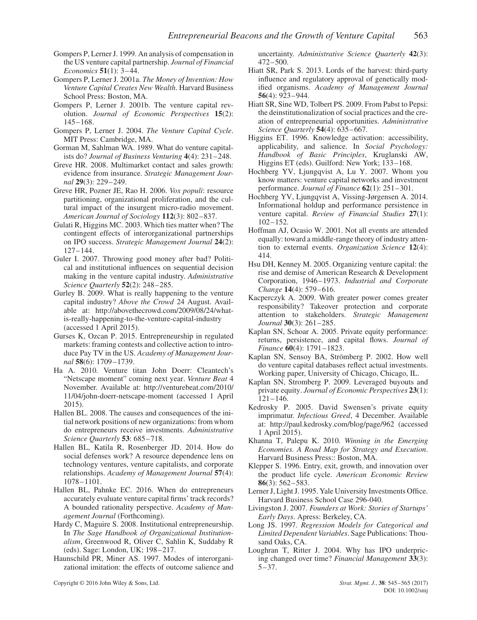- Gompers P, Lerner J. 1999. An analysis of compensation in the US venture capital partnership. *Journal of Financial Economics* **51**(1): 3–44.
- Gompers P, Lerner J. 2001a. *The Money of Invention: How Venture Capital Creates New Wealth*. Harvard Business School Press: Boston, MA.
- Gompers P, Lerner J. 2001b. The venture capital revolution. *Journal of Economic Perspectives* **15**(2): 145–168.
- Gompers P, Lerner J. 2004. *The Venture Capital Cycle*. MIT Press: Cambridge, MA.
- Gorman M, Sahlman WA. 1989. What do venture capitalists do? *Journal of Business Venturing* **4**(4): 231–248.
- Greve HR. 2008. Multimarket contact and sales growth: evidence from insurance. *Strategic Management Journal* **29**(3): 229–249.
- Greve HR, Pozner JE, Rao H. 2006. *Vox populi*: resource partitioning, organizational proliferation, and the cultural impact of the insurgent micro-radio movement. *American Journal of Sociology* **112**(3): 802–837.
- Gulati R, Higgins MC. 2003. Which ties matter when? The contingent effects of interorganizational partnerships on IPO success. *Strategic Management Journal* **24**(2): 127–144.
- Guler I. 2007. Throwing good money after bad? Political and institutional influences on sequential decision making in the venture capital industry. *Administrative Science Quarterly* **52**(2): 248–285.
- Gurley B. 2009. What is really happening to the venture capital industry? *Above the Crowd* 24 August. Available at: http://abovethecrowd.com/2009/08/24/whatis-really-happening-to-the-venture-capital-industry (accessed 1 April 2015).
- Gurses K, Ozcan P. 2015. Entrepreneurship in regulated markets: framing contests and collective action to introduce Pay TV in the US. *Academy of Management Journal* **58**(6): 1709–1739.
- Ha A. 2010. Venture titan John Doerr: Cleantech's "Netscape moment" coming next year. *Venture Beat* 4 November. Available at: http://venturebeat.com/2010/ 11/04/john-doerr-netscap[e-moment](http://venturebeat.com/2010/11/04/john-doerr-netscape-moment) (accessed 1 April 2015).
- Hallen BL. 2008. The causes and consequences of the initial network positions of new organizations: from whom do entrepreneurs receive investments. *Administrative Science Quarterly* **53**: 685–718.
- Hallen BL, Katila R, Rosenberger JD. 2014. How do social defenses work? A resource dependence lens on technology ventures, venture capitalists, and corporate relationships. *Academy of Management Journal* **57**(4): 1078–1101.
- Hallen BL, Pahnke EC. 2016. When do entrepreneurs accurately evaluate venture capital firms' track records? A bounded rationality perspective. *Academy of Management Journal* (Forthcoming).
- Hardy C, Maguire S. 2008. Institutional entrepreneurship. In *The Sage Handbook of Organizational Institutionalism*, Greenwood R, Oliver C, Sahlin K, Suddaby R (eds). Sage: London, UK; 198–217.
- Haunschild PR, Miner AS. 1997. Modes of interorganizational imitation: the effects of outcome salience and

Copyright © 2016 John Wiley & Sons, Ltd. *Strat. Mgmt. J.*, **38**: 545–565 (2017)

uncertainty. *Administrative Science Quarterly* **42**(3): 472–500.

- Hiatt SR, Park S. 2013. Lords of the harvest: third-party influence and regulatory approval of genetically modified organisms. *Academy of Management Journal* **56**(4): 923–944.
- Hiatt SR, Sine WD, Tolbert PS. 2009. From Pabst to Pepsi: the deinstitutionalization of social practices and the creation of entrepreneurial opportunities. *Administrative Science Quarterly* **54**(4): 635–667.
- Higgins ET. 1996. Knowledge activation: accessibility, applicability, and salience. In *Social Psychology: Handbook of Basic Principles*, Kruglanski AW, Higgins ET (eds). Guilford: New York; 133–168.
- Hochberg YV, Ljungqvist A, Lu Y. 2007. Whom you know matters: venture capital networks and investment performance. *Journal of Finance* **62**(1): 251–301.
- Hochberg YV, Ljungqvist A, Vissing-Jørgensen A. 2014. Informational holdup and performance persistence in venture capital. *Review of Financial Studies* **27**(1): 102–152.
- Hoffman AJ, Ocasio W. 2001. Not all events are attended equally: toward a middle-range theory of industry attention to external events. *Organization Science* **12**(4): 414.
- Hsu DH, Kenney M. 2005. Organizing venture capital: the rise and demise of American Research & Development Corporation, 1946–1973. *Industrial and Corporate Change* **14**(4): 579–616.
- Kacperczyk A. 2009. With greater power comes greater responsibility? Takeover protection and corporate attention to stakeholders. *Strategic Management Journal* **30**(3): 261–285.
- Kaplan SN, Schoar A. 2005. Private equity performance: returns, persistence, and capital flows. *Journal of Finance* **60**(4): 1791–1823.
- Kaplan SN, Sensoy BA, Strömberg P. 2002. How well do venture capital databases reflect actual investments. Working paper, University of Chicago, Chicago, IL.
- Kaplan SN, Stromberg P. 2009. Leveraged buyouts and private equity. *Journal of Economic Perspectives* **23**(1): 121–146.
- Kedrosky P. 2005. David Swensen's private equity imprimatur. *Infectious Greed*, 4 December. Available at:<http://paul.kedrosky.com/blog/page/962> (accessed 1 April 2015).
- Khanna T, Palepu K. 2010. *Winning in the Emerging Economies. A Road Map for Strategy and Execution*. Harvard Business Press:: Boston, MA.
- Klepper S. 1996. Entry, exit, growth, and innovation over the product life cycle. *American Economic Review* **86**(3): 562–583.
- Lerner J, Light J. 1995. Yale University Investments Office. Harvard Business School Case 296-040.
- Livingston J. 2007. *Founders at Work: Stories of Startups' Early Days*. Apress: Berkeley, CA.
- Long JS. 1997. *Regression Models for Categorical and Limited Dependent Variables*. Sage Publications: Thousand Oaks, CA.
- Loughran T, Ritter J. 2004. Why has IPO underpricing changed over time? *Financial Management* **33**(3): 5–37.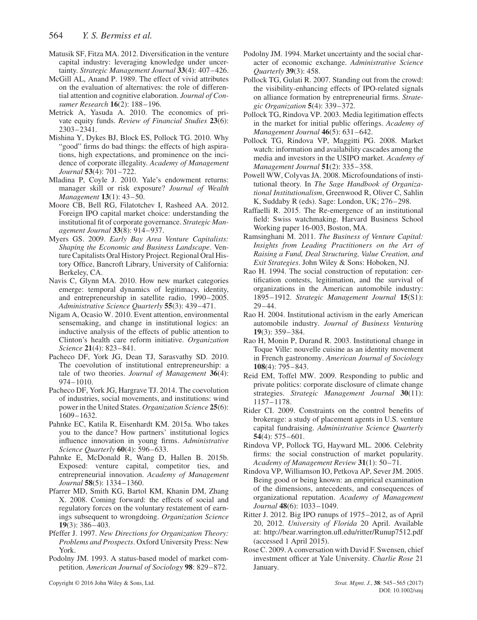- Matusik SF, Fitza MA. 2012. Diversification in the venture capital industry: leveraging knowledge under uncertainty. *Strategic Management Journal* **33**(4): 407–426.
- McGill AL, Anand P. 1989. The effect of vivid attributes on the evaluation of alternatives: the role of differential attention and cognitive elaboration. *Journal of Consumer Research* **16**(2): 188–196.
- Metrick A, Yasuda A. 2010. The economics of private equity funds. *Review of Financial Studies* **23**(6): 2303–2341.
- Mishina Y, Dykes BJ, Block ES, Pollock TG. 2010. Why "good" firms do bad things: the effects of high aspirations, high expectations, and prominence on the incidence of corporate illegality. *Academy of Management Journal* **53**(4): 701–722.
- Mladina P, Coyle J. 2010. Yale's endowment returns: manager skill or risk exposure? *Journal of Wealth Management* **13**(1): 43–50.
- Moore CB, Bell RG, Filatotchev I, Rasheed AA. 2012. Foreign IPO capital market choice: understanding the institutional fit of corporate governance. *Strategic Management Journal* **33**(8): 914–937.
- Myers GS. 2009. *Early Bay Area Venture Capitalists: Shaping the Economic and Business Landscape*. Venture Capitalists Oral History Project. Regional Oral History Office, Bancroft Library, University of California: Berkeley, CA.
- Navis C, Glynn MA. 2010. How new market categories emerge: temporal dynamics of legitimacy, identity, and entrepreneurship in satellite radio, 1990–2005. *Administrative Science Quarterly* **55**(3): 439–471.
- Nigam A, Ocasio W. 2010. Event attention, environmental sensemaking, and change in institutional logics: an inductive analysis of the effects of public attention to Clinton's health care reform initiative. *Organization Science* **21**(4): 823–841.
- Pacheco DF, York JG, Dean TJ, Sarasvathy SD. 2010. The coevolution of institutional entrepreneurship: a tale of two theories. *Journal of Management* **36**(4): 974–1010.
- Pacheco DF, York JG, Hargrave TJ. 2014. The coevolution of industries, social movements, and institutions: wind power in the United States. *Organization Science* **25**(6): 1609–1632.
- Pahnke EC, Katila R, Eisenhardt KM. 2015a. Who takes you to the dance? How partners' institutional logics influence innovation in young firms. *Administrative Science Quarterly* **60**(4): 596–633.
- Pahnke E, McDonald R, Wang D, Hallen B. 2015b. Exposed: venture capital, competitor ties, and entrepreneurial innovation. *Academy of Management Journal* **58**(5): 1334–1360.
- Pfarrer MD, Smith KG, Bartol KM, Khanin DM, Zhang X. 2008. Coming forward: the effects of social and regulatory forces on the voluntary restatement of earnings subsequent to wrongdoing. *Organization Science* **19**(3): 386–403.
- Pfeffer J. 1997. *New Directions for Organization Theory: Problems and Prospects*. Oxford University Press: New York.
- Podolny JM. 1993. A status-based model of market competition. *American Journal of Sociology* **98**: 829–872.

Copyright © 2016 John Wiley & Sons, Ltd. *Strat. Mgmt. J.*, **38**: 545–565 (2017)

- Podolny JM. 1994. Market uncertainty and the social character of economic exchange. *Administrative Science Quarterly* **39**(3): 458.
- Pollock TG, Gulati R. 2007. Standing out from the crowd: the visibility-enhancing effects of IPO-related signals on alliance formation by entrepreneurial firms. *Strategic Organization* **5**(4): 339–372.
- Pollock TG, Rindova VP. 2003. Media legitimation effects in the market for initial public offerings. *Academy of Management Journal* **46**(5): 631–642.
- Pollock TG, Rindova VP, Maggitti PG. 2008. Market watch: information and availability cascades among the media and investors in the USIPO market. *Academy of Management Journal* **51**(2): 335–358.
- Powell WW, Colyvas JA. 2008. Microfoundations of institutional theory. In *The Sage Handbook of Organizational Institutionalism*, Greenwood R, Oliver C, Sahlin K, Suddaby R (eds). Sage: London, UK; 276–298.
- Raffaelli R. 2015. The Re-emergence of an institutional field: Swiss watchmaking. Harvard Business School Working paper 16-003, Boston, MA.
- Ramsinghani M. 2011. *The Business of Venture Capital: Insights from Leading Practitioners on the Art of Raising a Fund, Deal Structuring, Value Creation, and Exit Strategies*. John Wiley & Sons: Hoboken, NJ.
- Rao H. 1994. The social construction of reputation: certification contests, legitimation, and the survival of organizations in the American automobile industry: 1895–1912. *Strategic Management Journal* **15**(S1): 29–44.
- Rao H. 2004. Institutional activism in the early American automobile industry. *Journal of Business Venturing* **19**(3): 359–384.
- Rao H, Monin P, Durand R. 2003. Institutional change in Toque Ville: nouvelle cuisine as an identity movement in French gastronomy. *American Journal of Sociology* **108**(4): 795–843.
- Reid EM, Toffel MW. 2009. Responding to public and private politics: corporate disclosure of climate change strategies. *Strategic Management Journal* **30**(11): 1157–1178.
- Rider CI. 2009. Constraints on the control benefits of brokerage: a study of placement agents in U.S. venture capital fundraising. *Administrative Science Quarterly* **54**(4): 575–601.
- Rindova VP, Pollock TG, Hayward ML. 2006. Celebrity firms: the social construction of market popularity. *Academy of Management Review* **31**(1): 50–71.
- Rindova VP, Williamson IO, Petkova AP, Sever JM. 2005. Being good or being known: an empirical examination of the dimensions, antecedents, and consequences of organizational reputation. *Academy of Management Journal* **48**(6): 1033–1049.
- Ritter J. 2012. Big IPO runups of 1975–2012, as of April 20, 2012. *University of Florida* 20 April. Available at:<http://bear.warrington.ufl.edu/ritter/Runup7512.pdf> (accessed 1 April 2015).
- Rose C. 2009. A conversation with David F. Swensen, chief investment officer at Yale University. *Charlie Rose* 21 January.